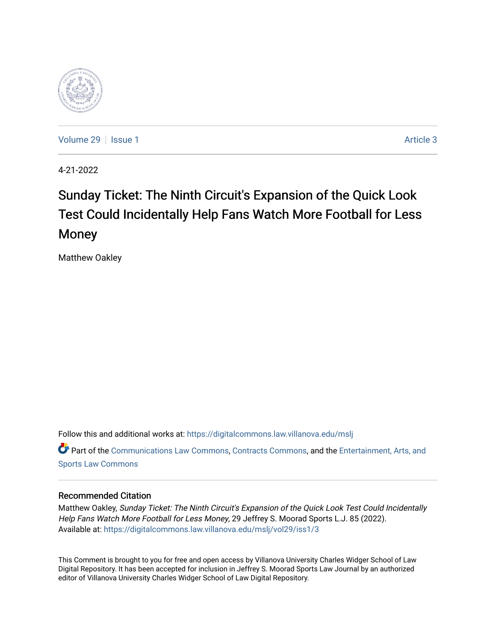

[Volume 29](https://digitalcommons.law.villanova.edu/mslj/vol29) | [Issue 1](https://digitalcommons.law.villanova.edu/mslj/vol29/iss1) Article 3

4-21-2022

# Sunday Ticket: The Ninth Circuit's Expansion of the Quick Look Test Could Incidentally Help Fans Watch More Football for Less Money

Matthew Oakley

Follow this and additional works at: [https://digitalcommons.law.villanova.edu/mslj](https://digitalcommons.law.villanova.edu/mslj?utm_source=digitalcommons.law.villanova.edu%2Fmslj%2Fvol29%2Fiss1%2F3&utm_medium=PDF&utm_campaign=PDFCoverPages) Part of the [Communications Law Commons,](http://network.bepress.com/hgg/discipline/587?utm_source=digitalcommons.law.villanova.edu%2Fmslj%2Fvol29%2Fiss1%2F3&utm_medium=PDF&utm_campaign=PDFCoverPages) [Contracts Commons,](http://network.bepress.com/hgg/discipline/591?utm_source=digitalcommons.law.villanova.edu%2Fmslj%2Fvol29%2Fiss1%2F3&utm_medium=PDF&utm_campaign=PDFCoverPages) and the Entertainment, Arts, and [Sports Law Commons](http://network.bepress.com/hgg/discipline/893?utm_source=digitalcommons.law.villanova.edu%2Fmslj%2Fvol29%2Fiss1%2F3&utm_medium=PDF&utm_campaign=PDFCoverPages) 

# Recommended Citation

Matthew Oakley, Sunday Ticket: The Ninth Circuit's Expansion of the Quick Look Test Could Incidentally Help Fans Watch More Football for Less Money, 29 Jeffrey S. Moorad Sports L.J. 85 (2022). Available at: [https://digitalcommons.law.villanova.edu/mslj/vol29/iss1/3](https://digitalcommons.law.villanova.edu/mslj/vol29/iss1/3?utm_source=digitalcommons.law.villanova.edu%2Fmslj%2Fvol29%2Fiss1%2F3&utm_medium=PDF&utm_campaign=PDFCoverPages) 

This Comment is brought to you for free and open access by Villanova University Charles Widger School of Law Digital Repository. It has been accepted for inclusion in Jeffrey S. Moorad Sports Law Journal by an authorized editor of Villanova University Charles Widger School of Law Digital Repository.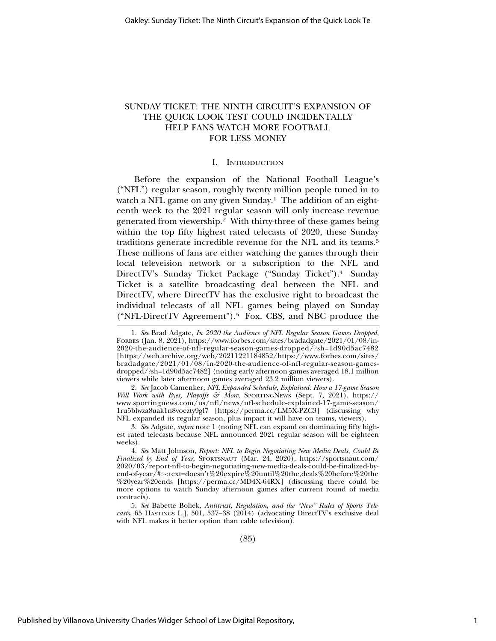# SUNDAY TICKET: THE NINTH CIRCUIT'S EXPANSION OF THE QUICK LOOK TEST COULD INCIDENTALLY HELP FANS WATCH MORE FOOTBALL FOR LESS MONEY

#### I. INTRODUCTION

Before the expansion of the National Football League's ("NFL") regular season, roughly twenty million people tuned in to watch a NFL game on any given Sunday.<sup>1</sup> The addition of an eighteenth week to the 2021 regular season will only increase revenue generated from viewership.2 With thirty-three of these games being within the top fifty highest rated telecasts of 2020, these Sunday traditions generate incredible revenue for the NFL and its teams.3 These millions of fans are either watching the games through their local televeision network or a subscription to the NFL and DirectTV's Sunday Ticket Package ("Sunday Ticket").4 Sunday Ticket is a satellite broadcasting deal between the NFL and DirectTV, where DirectTV has the exclusive right to broadcast the individual telecasts of all NFL games being played on Sunday ("NFL-DirectTV Agreement").5 Fox, CBS, and NBC produce the

<sup>1.</sup> *See* Brad Adgate, *In 2020 the Audience of NFL Regular Season Games Dropped*, FORBES (Jan. 8, 2021), https://www.forbes.com/sites/bradadgate/2021/01/08/in-2020-the-audience-of-nfl-regular-season-games-dropped/?sh=1d90d5ac7482 [https://web.archive.org/web/20211221184852/https://www.forbes.com/sites/ bradadgate/2021/01/08/in-2020-the-audience-of-nfl-regular-season-gamesdropped/?sh=1d90d5ac7482] (noting early afternoon games averaged 18.1 million viewers while later afternoon games averaged 23.2 million viewers).

<sup>2.</sup> *See* Jacob Camenker, *NFL Expanded Schedule, Explained: How a 17-game Season Will Work with Byes, Playoffs & More*, SPORTINGNEWS (Sept. 7, 2021), https:// www.sportingnews.com/us/nfl/news/nfl-schedule-explained-17-game-season/ 1ru5blwza8uak1n8voezty9gl7 [https://perma.cc/LM5X-PZC3] (discussing why NFL expanded its regular season, plus impact it will have on teams, viewers).

<sup>3.</sup> *See* Adgate*, supra* note 1 (noting NFL can expand on dominating fifty highest rated telecasts because NFL announced 2021 regular season will be eighteen weeks).

<sup>4.</sup> *See* Matt Johnson, *Report: NFL to Begin Negotiating New Media Deals, Could Be Finalized by End of Year*, SPORTSNAUT (Mar. 24, 2020), https://sportsnaut.com/ 2020/03/report-nfl-to-begin-negotiating-new-media-deals-could-be-finalized-byend-of-year/#:~:text=doesn't%20expire%20until%20the,deals%20before%20the %20year%20ends [https://perma.cc/MD4X-64RX] (discussing there could be more options to watch Sunday afternoon games after current round of media contracts).

<sup>5.</sup> *See* Babette Boliek, *Antitrust, Regulation, and the "New" Rules of Sports Telecasts*, 65 HASTINGS L.J. 501, 537–38 (2014) (advocating DirectTV's exclusive deal with NFL makes it better option than cable television).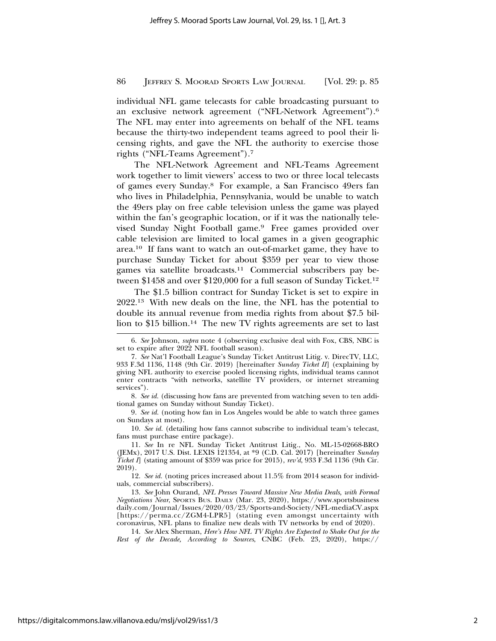individual NFL game telecasts for cable broadcasting pursuant to an exclusive network agreement ("NFL-Network Agreement").6 The NFL may enter into agreements on behalf of the NFL teams because the thirty-two independent teams agreed to pool their licensing rights, and gave the NFL the authority to exercise those rights ("NFL-Teams Agreement").7

The NFL-Network Agreement and NFL-Teams Agreement work together to limit viewers' access to two or three local telecasts of games every Sunday.8 For example, a San Francisco 49ers fan who lives in Philadelphia, Pennsylvania, would be unable to watch the 49ers play on free cable television unless the game was played within the fan's geographic location, or if it was the nationally televised Sunday Night Football game.9 Free games provided over cable television are limited to local games in a given geographic area.10 If fans want to watch an out-of-market game, they have to purchase Sunday Ticket for about \$359 per year to view those games via satellite broadcasts.11 Commercial subscribers pay between \$1458 and over \$120,000 for a full season of Sunday Ticket.<sup>12</sup>

The \$1.5 billion contract for Sunday Ticket is set to expire in 2022.13 With new deals on the line, the NFL has the potential to double its annual revenue from media rights from about \$7.5 billion to \$15 billion.<sup>14</sup> The new TV rights agreements are set to last

10. *See id.* (detailing how fans cannot subscribe to individual team's telecast, fans must purchase entire package).

12. *See id.* (noting prices increased about 11.5% from 2014 season for individuals, commercial subscribers).

13. *See* John Ourand, *NFL Presses Toward Massive New Media Deals, with Formal Negotiations Near*, SPORTS BUS. DAILY (Mar. 23, 2020), https://www.sportsbusiness daily.com/Journal/Issues/2020/03/23/Sports-and-Society/NFL-mediaCV.aspx [https://perma.cc/ZGM4-LPR5] (stating even amongst uncertainty with coronavirus, NFL plans to finalize new deals with TV networks by end of 2020).

14. *See* Alex Sherman, *Here's How NFL TV Rights Are Expected to Shake Out for the Rest of the Decade, According to Sources*, CNBC (Feb. 23, 2020), https://

<sup>6.</sup> *See* Johnson, *supra* note 4 (observing exclusive deal with Fox, CBS, NBC is set to expire after 2022 NFL football season).

<sup>7.</sup> *See* Nat'l Football League's Sunday Ticket Antitrust Litig. v. DirecTV, LLC, 933 F.3d 1136, 1148 (9th Cir. 2019) [hereinafter *Sunday Ticket II*] (explaining by giving NFL authority to exercise pooled licensing rights, individual teams cannot enter contracts "with networks, satellite TV providers, or internet streaming services").

<sup>8.</sup> *See id.* (discussing how fans are prevented from watching seven to ten additional games on Sunday without Sunday Ticket).

<sup>9.</sup> *See id.* (noting how fan in Los Angeles would be able to watch three games on Sundays at most).

<sup>11.</sup> *See* In re NFL Sunday Ticket Antitrust Litig*.*, No. ML-15-02668-BRO (JEMx), 2017 U.S. Dist. LEXIS 121354, at \*9 (C.D. Cal. 2017) [hereinafter *Sunday Ticket I*] (stating amount of \$359 was price for 2015), *rev'd*, 933 F.3d 1136 (9th Cir. 2019).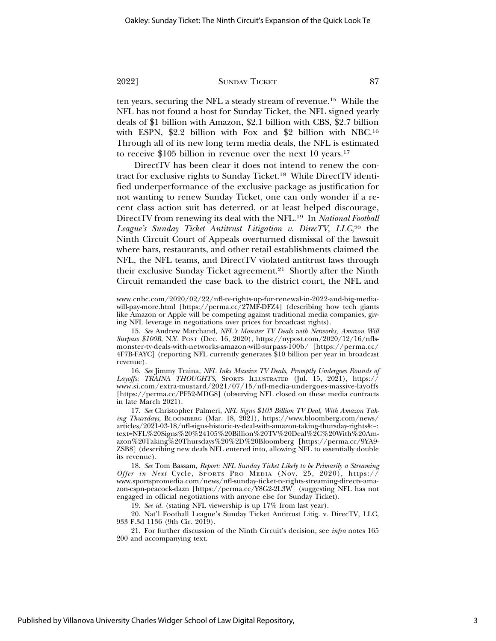ten years, securing the NFL a steady stream of revenue.15 While the NFL has not found a host for Sunday Ticket, the NFL signed yearly deals of \$1 billion with Amazon, \$2.1 billion with CBS, \$2.7 billion with ESPN, \$2.2 billion with Fox and \$2 billion with NBC.16 Through all of its new long term media deals, the NFL is estimated to receive \$105 billion in revenue over the next 10 years.17

DirectTV has been clear it does not intend to renew the contract for exclusive rights to Sunday Ticket.18 While DirectTV identified underperformance of the exclusive package as justification for not wanting to renew Sunday Ticket, one can only wonder if a recent class action suit has deterred, or at least helped discourage, DirectTV from renewing its deal with the NFL.19 In *National Football League's Sunday Ticket Antitrust Litigation v. DirecTV, LLC,*20 the Ninth Circuit Court of Appeals overturned dismissal of the lawsuit where bars, restaurants, and other retail establishments claimed the NFL, the NFL teams, and DirectTV violated antitrust laws through their exclusive Sunday Ticket agreement.21 Shortly after the Ninth Circuit remanded the case back to the district court, the NFL and

www.cnbc.com/2020/02/22/nfl-tv-rights-up-for-renewal-in-2022-and-big-mediawill-pay-more.html [https://perma.cc<sup>7</sup>27MF-DFZ4] (describing how tech giants like Amazon or Apple will be competing against traditional media companies, giving NFL leverage in negotiations over prices for broadcast rights).

15. *See* Andrew Marchand, *NFL's Monster TV Deals with Networks, Amazon Will Surpass \$100B*, N.Y. POST (Dec. 16, 2020), https://nypost.com/2020/12/16/nflsmonster-tv-deals-with-networks-amazon-will-surpass-100b/ [https://perma.cc/ 4F7B-FAYC] (reporting NFL currently generates \$10 billion per year in broadcast revenue).

16. *See* Jimmy Traina, *NFL Inks Massive TV Deals, Promptly Undergoes Rounds of* Layoffs: TRAINA THOUGHTS, SPORTS ILLUSTRATED (Jul. 15, 2021), https:// www.si.com/extra-mustard/2021/07/15/nfl-media-undergoes-massive-layoffs [https://perma.cc/PF52-MDG8] (observing NFL closed on these media contracts in late March 2021).

17. *See* Christopher Palmeri, *NFL Signs \$105 Billion TV Deal, With Amazon Taking Thursdays,* BLOOMBERG (Mar. 18, 2021), https://www.bloomberg.com/news/ articles/2021-03-18/nfl-signs-historic-tv-deal-with-amazon-taking-thursday-rights#:~: text=NFL%20Signs%20%24105%20Billion%20TV%20Deal%2C%20With%20Amazon%20Taking%20Thursdays%20%2D%20Bloomberg [https://perma.cc/9YA9- ZSB8] (describing new deals NFL entered into, allowing NFL to essentially double its revenue).

18. *See* Tom Bassam, *Report: NFL Sunday Ticket Likely to be Primarily a Streaming Offer in Next* Cycle, SPORTS PRO MEDIA (Nov. 25, 2020), https:// www.sportspromedia.com/news/nfl-sunday-ticket-tv-rights-streaming-directv-amazon-espn-peacock-dazn [https://perma.cc/Y8G2-2L3W] (suggesting NFL has not engaged in official negotiations with anyone else for Sunday Ticket).

19. *See id.* (stating NFL viewership is up 17% from last year).

20. Nat'l Football League's Sunday Ticket Antitrust Litig. v. DirecTV, LLC, 933 F.3d 1136 (9th Cir. 2019).

21. For further discussion of the Ninth Circuit's decision, see *infra* notes 165 200 and accompanying text.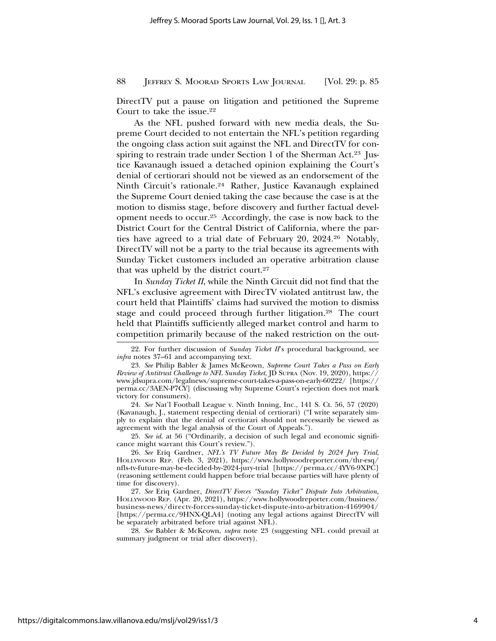DirectTV put a pause on litigation and petitioned the Supreme Court to take the issue.22

As the NFL pushed forward with new media deals, the Supreme Court decided to not entertain the NFL's petition regarding the ongoing class action suit against the NFL and DirectTV for conspiring to restrain trade under Section 1 of the Sherman Act.<sup>23</sup> Justice Kavanaugh issued a detached opinion explaining the Court's denial of certiorari should not be viewed as an endorsement of the Ninth Circuit's rationale.24 Rather, Justice Kavanaugh explained the Supreme Court denied taking the case because the case is at the motion to dismiss stage, before discovery and further factual development needs to occur.25 Accordingly, the case is now back to the District Court for the Central District of California, where the parties have agreed to a trial date of February 20, 2024.26 Notably, DirectTV will not be a party to the trial because its agreements with Sunday Ticket customers included an operative arbitration clause that was upheld by the district court.27

In *Sunday Ticket II*, while the Ninth Circuit did not find that the NFL's exclusive agreement with DirecTV violated antitrust law, the court held that Plaintiffs' claims had survived the motion to dismiss stage and could proceed through further litigation.28 The court held that Plaintiffs sufficiently alleged market control and harm to competition primarily because of the naked restriction on the out-

24. *See* Nat'l Football League v. Ninth Inning, Inc., 141 S. Ct. 56, 57 (2020) (Kavanaugh, J., statement respecting denial of certiorari) ("I write separately simply to explain that the denial of certiorari should not necessarily be viewed as agreement with the legal analysis of the Court of Appeals.").

25. *See id*. at 56 ("Ordinarily, a decision of such legal and economic significance might warrant this Court's review.").

26. *See* Eriq Gardner, *NFL's TV Future May Be Decided by 2024 Jury Trial*, HOLLYWOOD REP. (Feb. 3, 2021), https://www.hollywoodreporter.com/thr-esq/ nfls-tv-future-may-be-decided-by-2024-jury-trial [https://perma.cc/4YV6-9XPC] (reasoning settlement could happen before trial because parties will have plenty of time for discovery).

27. *See* Eriq Gardner, *DirectTV Forces "Sunday Ticket" Dispute Into Arbitration,* HOLLYWOOD REP. (Apr. 20, 2021), https://www.hollywoodreporter.com/business/ business-news/directv-forces-sunday-ticket-dispute-into-arbitration-4169904/ [https://perma.cc/9HNX-QLA4] (noting any legal actions against DirectTV will be separately arbitrated before trial against NFL).

28. *See* Babler & McKeown, *supra* note 23 (suggesting NFL could prevail at summary judgment or trial after discovery).

<sup>22.</sup> For further discussion of *Sunday Ticket II*'s procedural background, see *infra* notes 37–61 and accompanying text.

<sup>23.</sup> *See* Philip Babler & James McKeown, *Supreme Court Takes a Pass on Early Review of Antitrust Challenge to NFL Sunday Ticket*, JD SUPRA (Nov. 19, 2020), https:// www.jdsupra.com/legalnews/supreme-court-takes-a-pass-on-early-60222/ [https:// perma.cc/3AEN-P7CY] (discussing why Supreme Court's rejection does not mark victory for consumers).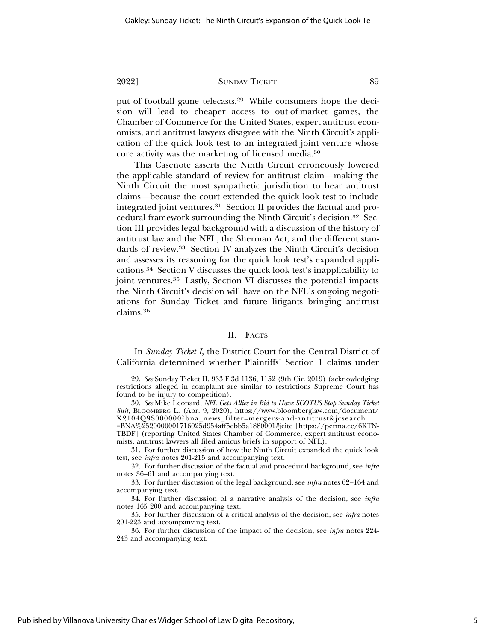put of football game telecasts.29 While consumers hope the decision will lead to cheaper access to out-of-market games, the Chamber of Commerce for the United States, expert antitrust economists, and antitrust lawyers disagree with the Ninth Circuit's application of the quick look test to an integrated joint venture whose core activity was the marketing of licensed media.30

This Casenote asserts the Ninth Circuit erroneously lowered the applicable standard of review for antitrust claim—making the Ninth Circuit the most sympathetic jurisdiction to hear antitrust claims—because the court extended the quick look test to include integrated joint ventures.31 Section II provides the factual and procedural framework surrounding the Ninth Circuit's decision.32 Section III provides legal background with a discussion of the history of antitrust law and the NFL, the Sherman Act, and the different standards of review.33 Section IV analyzes the Ninth Circuit's decision and assesses its reasoning for the quick look test's expanded applications.34 Section V discusses the quick look test's inapplicability to joint ventures.<sup>35</sup> Lastly, Section VI discusses the potential impacts the Ninth Circuit's decision will have on the NFL's ongoing negotiations for Sunday Ticket and future litigants bringing antitrust claims.36

#### II. FACTS

In *Sunday Ticket I*, the District Court for the Central District of California determined whether Plaintiffs' Section 1 claims under

<sup>29.</sup> *See* Sunday Ticket II, 933 F.3d 1136, 1152 (9th Cir. 2019) (acknowledging restrictions alleged in complaint are similar to restrictions Supreme Court has found to be injury to competition).

<sup>30.</sup> *See* Mike Leonard, *NFL Gets Allies in Bid to Have SCOTUS Stop Sunday Ticket Suit*, BLOOMBERG L. (Apr. 9, 2020), https://www.bloomberglaw.com/document/ X2104Q9S000000?bna\_news\_filter=mergers-and-antitrust&jcsearch

<sup>=</sup>BNA%2520000001716025d954aff5ebb5a1880001#jcite [https://perma.cc/6KTN-TBDF] (reporting United States Chamber of Commerce, expert antitrust economists, antitrust lawyers all filed amicus briefs in support of NFL).

<sup>31.</sup> For further discussion of how the Ninth Circuit expanded the quick look test, see *infra* notes 201-215 and accompanying text.

<sup>32.</sup> For further discussion of the factual and procedural background, see *infra* notes 36–61 and accompanying text.

<sup>33.</sup> For further discussion of the legal background, see *infra* notes 62–164 and accompanying text.

<sup>34.</sup> For further discussion of a narrative analysis of the decision, see *infra* notes 165 200 and accompanying text.

<sup>35.</sup> For further discussion of a critical analysis of the decision, see *infra* notes 201-223 and accompanying text.

<sup>36.</sup> For further discussion of the impact of the decision, see *infra* notes 224- 243 and accompanying text.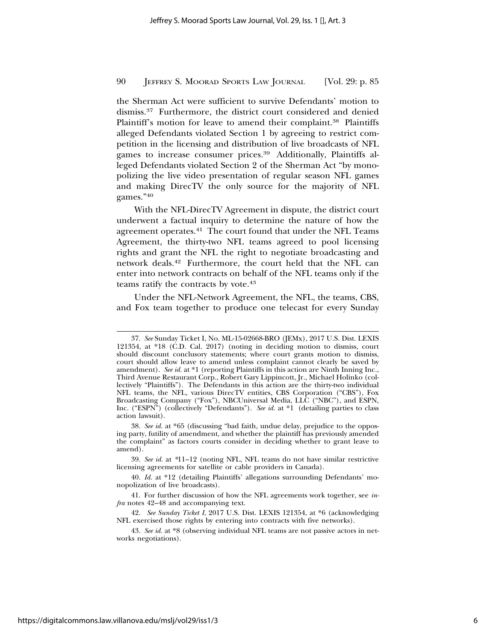the Sherman Act were sufficient to survive Defendants' motion to dismiss.37 Furthermore, the district court considered and denied Plaintiff's motion for leave to amend their complaint.<sup>38</sup> Plaintiffs alleged Defendants violated Section 1 by agreeing to restrict competition in the licensing and distribution of live broadcasts of NFL games to increase consumer prices.39 Additionally, Plaintiffs alleged Defendants violated Section 2 of the Sherman Act "by monopolizing the live video presentation of regular season NFL games and making DirecTV the only source for the majority of NFL games."40

With the NFL-DirecTV Agreement in dispute, the district court underwent a factual inquiry to determine the nature of how the agreement operates.41 The court found that under the NFL Teams Agreement, the thirty-two NFL teams agreed to pool licensing rights and grant the NFL the right to negotiate broadcasting and network deals.42 Furthermore, the court held that the NFL can enter into network contracts on behalf of the NFL teams only if the teams ratify the contracts by vote.<sup>43</sup>

Under the NFL-Network Agreement, the NFL, the teams, CBS, and Fox team together to produce one telecast for every Sunday

<sup>37.</sup> *See* Sunday Ticket I, No. ML-15-02668-BRO (JEMx), 2017 U.S. Dist. LEXIS 121354, at \*18 (C.D. Cal. 2017) (noting in deciding motion to dismiss, court should discount conclusory statements; where court grants motion to dismiss, court should allow leave to amend unless complaint cannot clearly be saved by amendment). *See id.* at \*1 (reporting Plaintiffs in this action are Ninth Inning Inc., Third Avenue Restaurant Corp., Robert Gary Lippincott, Jr., Michael Holinko (collectively "Plaintiffs"). The Defendants in this action are the thirty-two individual NFL teams, the NFL, various DirecTV entities, CBS Corporation ("CBS"), Fox Broadcasting Company ("Fox"), NBCUniversal Media, LLC ("NBC"), and ESPN, Inc. ("ESPN") (collectively "Defendants"). *See id.* at \*1 (detailing parties to class action lawsuit).

<sup>38.</sup> *See id.* at \*65 (discussing "bad faith, undue delay, prejudice to the opposing party, futility of amendment, and whether the plaintiff has previously amended the complaint" as factors courts consider in deciding whether to grant leave to amend).

<sup>39.</sup> *See id.* at *\**11–12 (noting NFL, NFL teams do not have similar restrictive licensing agreements for satellite or cable providers in Canada).

<sup>40.</sup> *Id.* at \*12 (detailing Plaintiffs' allegations surrounding Defendants' monopolization of live broadcasts).

<sup>41.</sup> For further discussion of how the NFL agreements work together, see *infra* notes 42–48 and accompanying text.

<sup>42.</sup> *See Sunday Ticket I*, 2017 U.S. Dist. LEXIS 121354, at \*6 (acknowledging NFL exercised those rights by entering into contracts with five networks).

<sup>43.</sup> *See id.* at \*8 (observing individual NFL teams are not passive actors in networks negotiations).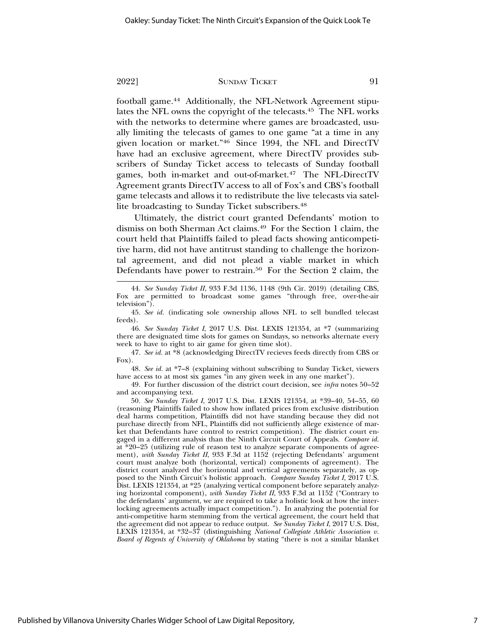football game.44 Additionally, the NFL-Network Agreement stipulates the NFL owns the copyright of the telecasts.45 The NFL works with the networks to determine where games are broadcasted, usually limiting the telecasts of games to one game "at a time in any given location or market."46 Since 1994, the NFL and DirectTV have had an exclusive agreement, where DirectTV provides subscribers of Sunday Ticket access to telecasts of Sunday football games, both in-market and out-of-market.47 The NFL-DirectTV Agreement grants DirectTV access to all of Fox's and CBS's football game telecasts and allows it to redistribute the live telecasts via satellite broadcasting to Sunday Ticket subscribers.<sup>48</sup>

Ultimately, the district court granted Defendants' motion to dismiss on both Sherman Act claims.49 For the Section 1 claim, the court held that Plaintiffs failed to plead facts showing anticompetitive harm, did not have antitrust standing to challenge the horizontal agreement, and did not plead a viable market in which Defendants have power to restrain.<sup>50</sup> For the Section 2 claim, the

48. *See id.* at \*7–8 (explaining without subscribing to Sunday Ticket, viewers have access to at most six games "in any given week in any one market").

49. For further discussion of the district court decision, see *infra* notes 50–52 and accompanying text.

50. *See Sunday Ticket I*, 2017 U.S. Dist. LEXIS 121354, at \*39–40, 54–55, 60 (reasoning Plaintiffs failed to show how inflated prices from exclusive distribution deal harms competition, Plaintiffs did not have standing because they did not purchase directly from NFL, Plaintiffs did not sufficiently allege existence of market that Defendants have control to restrict competition). The district court engaged in a different analysis than the Ninth Circuit Court of Appeals. *Compare id.* at \*20–25 (utilizing rule of reason test to analyze separate components of agreement), *with Sunday Ticket II*, 933 F.3d at 1152 (rejecting Defendants' argument court must analyze both (horizontal, vertical) components of agreement). The district court analyzed the horizontal and vertical agreements separately, as opposed to the Ninth Circuit's holistic approach. *Compare Sunday Ticket I*, 2017 U.S. Dist. LEXIS 121354, at \*25 (analyzing vertical component before separately analyzing horizontal component), *with Sunday Ticket II*, 933 F.3d at 1152 ("Contrary to the defendants' argument, we are required to take a holistic look at how the interlocking agreements actually impact competition."). In analyzing the potential for anti-competitive harm stemming from the vertical agreement, the court held that the agreement did not appear to reduce output. *See Sunday Ticket I*, 2017 U.S. Dist, LEXIS 121354, at \*32–37 (distinguishing *National Collegiate Athletic Association v. Board of Regents of University of Oklahoma* by stating "there is not a similar blanket

<sup>44.</sup> *See Sunday Ticket II*, 933 F.3d 1136, 1148 (9th Cir. 2019) (detailing CBS, Fox are permitted to broadcast some games "through free, over-the-air television").

<sup>45.</sup> *See id.* (indicating sole ownership allows NFL to sell bundled telecast feeds).

<sup>46.</sup> *See Sunday Ticket I*, 2017 U.S. Dist. LEXIS 121354, at \*7 (summarizing there are designated time slots for games on Sundays, so networks alternate every week to have to right to air game for given time slot).

<sup>47.</sup> *See id.* at \*8 (acknowledging DirectTV recieves feeds directly from CBS or Fox).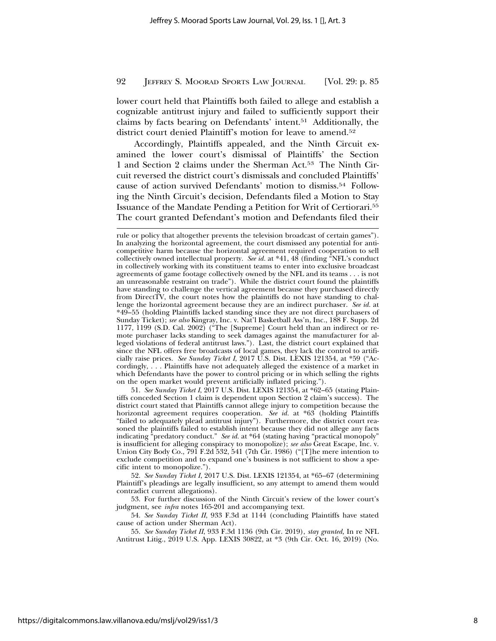lower court held that Plaintiffs both failed to allege and establish a cognizable antitrust injury and failed to sufficiently support their claims by facts bearing on Defendants' intent.51 Additionally, the district court denied Plaintiff's motion for leave to amend.<sup>52</sup>

Accordingly, Plaintiffs appealed, and the Ninth Circuit examined the lower court's dismissal of Plaintiffs' the Section 1 and Section 2 claims under the Sherman Act.53 The Ninth Circuit reversed the district court's dismissals and concluded Plaintiffs' cause of action survived Defendants' motion to dismiss.54 Following the Ninth Circuit's decision, Defendants filed a Motion to Stay Issuance of the Mandate Pending a Petition for Writ of Certiorari.55 The court granted Defendant's motion and Defendants filed their

51. *See Sunday Ticket I*, 2017 U.S. Dist. LEXIS 121354, at \*62–65 (stating Plaintiffs conceded Section 1 claim is dependent upon Section 2 claim's success). The district court stated that Plaintiffs cannot allege injury to competition because the horizontal agreement requires cooperation. *See id.* at \*63 (holding Plaintiffs "failed to adequately plead antitrust injury"). Furthermore, the district court reasoned the plaintiffs failed to establish intent because they did not allege any facts indicating <sup>a</sup>predatory conduct." *See id.* at \*64 (stating having "practical monopoly" is insufficient for alleging conspiracy to monopolize); *see also* Great Escape, Inc. v. Union City Body Co., 791 F.2d 532, 541 (7th Cir. 1986) ("[T]he mere intention to exclude competition and to expand one's business is not sufficient to show a specific intent to monopolize.").

52. *See Sunday Ticket I*, 2017 U.S. Dist. LEXIS 121354, at \*65–67 (determining Plaintiff's pleadings are legally insufficient, so any attempt to amend them would contradict current allegations).

53. For further discussion of the Ninth Circuit's review of the lower court's judgment, see *infra* notes 165-201 and accompanying text.

54. *See Sunday Ticket II*, 933 F.3d at 1144 (concluding Plaintiffs have stated cause of action under Sherman Act).

55. *See Sunday Ticket II*, 933 F.3d 1136 (9th Cir. 2019), *stay granted,* In re NFL Antitrust Litig., 2019 U.S. App. LEXIS 30822, at \*3 (9th Cir. Oct. 16, 2019) (No.

rule or policy that altogether prevents the television broadcast of certain games"). In analyzing the horizontal agreement, the court dismissed any potential for anticompetitive harm because the horizontal agreement required cooperation to sell collectively owned intellectual property. *See id.* at \*41, 48 (finding "NFL's conduct in collectively working with its constituent teams to enter into exclusive broadcast agreements of game footage collectively owned by the NFL and its teams . . . is not an unreasonable restraint on trade"). While the district court found the plaintiffs have standing to challenge the vertical agreement because they purchased directly from DirectTV, the court notes how the plaintiffs do not have standing to challenge the horizontal agreement because they are an indirect purchaser. *See id.* at \*49–55 (holding Plaintiffs lacked standing since they are not direct purchasers of Sunday Ticket); *see also* Kingray, Inc. v. Nat'l Basketball Ass'n, Inc., 188 F. Supp. 2d 1177, 1199 (S.D. Cal. 2002) ("The [Supreme] Court held than an indirect or remote purchaser lacks standing to seek damages against the manufacturer for alleged violations of federal antitrust laws."). Last, the district court explained that since the NFL offers free broadcasts of local games, they lack the control to artificially raise prices. *See Sunday Ticket I*, 2017 U.S. Dist. LEXIS 121354, at \*59 ("Accordingly, . . . Plaintiffs have not adequately alleged the existence of a market in which Defendants have the power to control pricing or in which selling the rights on the open market would prevent artificially inflated pricing.").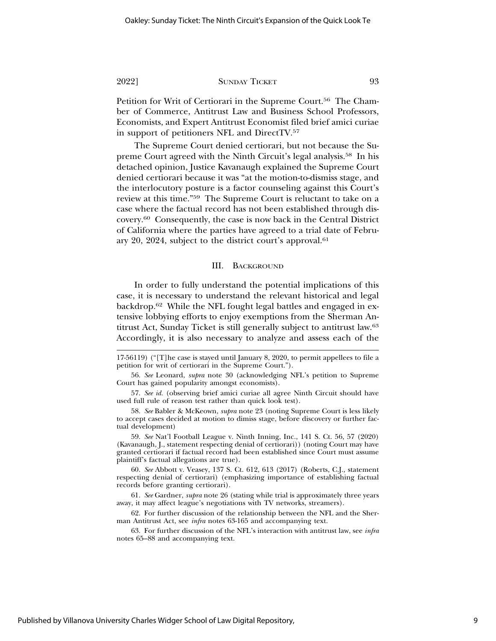Petition for Writ of Certiorari in the Supreme Court.<sup>56</sup> The Chamber of Commerce, Antitrust Law and Business School Professors, Economists, and Expert Antitrust Economist filed brief amici curiae in support of petitioners NFL and DirectTV.57

The Supreme Court denied certiorari, but not because the Supreme Court agreed with the Ninth Circuit's legal analysis.58 In his detached opinion, Justice Kavanaugh explained the Supreme Court denied certiorari because it was "at the motion-to-dismiss stage, and the interlocutory posture is a factor counseling against this Court's review at this time."59 The Supreme Court is reluctant to take on a case where the factual record has not been established through discovery.60 Consequently, the case is now back in the Central District of California where the parties have agreed to a trial date of February 20, 2024, subject to the district court's approval.61

#### III. BACKGROUND

In order to fully understand the potential implications of this case, it is necessary to understand the relevant historical and legal backdrop.62 While the NFL fought legal battles and engaged in extensive lobbying efforts to enjoy exemptions from the Sherman Antitrust Act, Sunday Ticket is still generally subject to antitrust law.63 Accordingly, it is also necessary to analyze and assess each of the

17-56119) ("[T]he case is stayed until January 8, 2020, to permit appellees to file a petition for writ of certiorari in the Supreme Court.").

56. *See* Leonard, *supra* note 30 (acknowledging NFL's petition to Supreme Court has gained popularity amongst economists).

57. *See id.* (observing brief amici curiae all agree Ninth Circuit should have used full rule of reason test rather than quick look test).

58. *See* Babler & McKeown, *supra* note 23 (noting Supreme Court is less likely to accept cases decided at motion to dimiss stage, before discovery or further factual development)

59. *See* Nat'l Football League v. Ninth Inning, Inc., 141 S. Ct. 56, 57 (2020) (Kavanaugh, J., statement respecting denial of certiorari)) (noting Court may have granted certiorari if factual record had been established since Court must assume plaintiff's factual allegations are true).

60. *See* Abbott v. Veasey, 137 S. Ct. 612, 613 (2017) (Roberts, C.J., statement respecting denial of certiorari) (emphasizing importance of establishing factual records before granting certiorari).

61. *See* Gardner, *supra* note 26 (stating while trial is approximately three years away, it may affect league's negotiations with TV networks, streamers).

62. For further discussion of the relationship between the NFL and the Sherman Antitrust Act, see *infra* notes 63-165 and accompanying text.

63. For further discussion of the NFL's interaction with antitrust law, see *infra* notes 65–88 and accompanying text.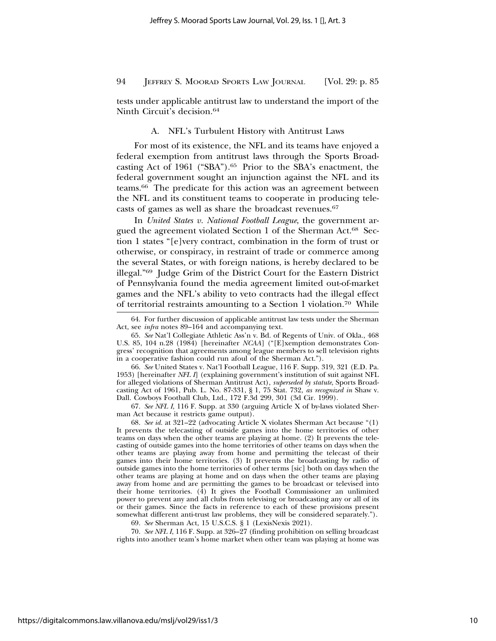tests under applicable antitrust law to understand the import of the Ninth Circuit's decision.64

#### A. NFL's Turbulent History with Antitrust Laws

For most of its existence, the NFL and its teams have enjoyed a federal exemption from antitrust laws through the Sports Broadcasting Act of 1961 ("SBA").<sup>65</sup> Prior to the SBA's enactment, the federal government sought an injunction against the NFL and its teams.66 The predicate for this action was an agreement between the NFL and its constituent teams to cooperate in producing telecasts of games as well as share the broadcast revenues.67

In *United States v. National Football League*, the government argued the agreement violated Section 1 of the Sherman Act.68 Section 1 states "[e]very contract, combination in the form of trust or otherwise, or conspiracy, in restraint of trade or commerce among the several States, or with foreign nations, is hereby declared to be illegal."69 Judge Grim of the District Court for the Eastern District of Pennsylvania found the media agreement limited out-of-market games and the NFL's ability to veto contracts had the illegal effect of territorial restraints amounting to a Section 1 violation.70 While

66. *See* United States v. Nat'l Football League, 116 F. Supp. 319, 321 (E.D. Pa. 1953) [hereinafter *NFL I*] (explaining government's institution of suit against NFL for alleged violations of Sherman Antitrust Act), *superseded by statute*, Sports Broadcasting Act of 1961, Pub. L. No. 87-331, § 1, 75 Stat. 732, *as recognized in* Shaw v. Dall. Cowboys Football Club, Ltd., 172 F.3d 299, 301 (3d Cir. 1999).

67. *See NFL I*, 116 F. Supp. at 330 (arguing Article X of by-laws violated Sherman Act because it restricts game output).

68. *See id.* at 321–22 (advocating Article X violates Sherman Act because "(1) It prevents the telecasting of outside games into the home territories of other teams on days when the other teams are playing at home. (2) It prevents the telecasting of outside games into the home territories of other teams on days when the other teams are playing away from home and permitting the telecast of their games into their home territories. (3) It prevents the broadcasting by radio of outside games into the home territories of other terms [sic] both on days when the other teams are playing at home and on days when the other teams are playing away from home and are permitting the games to be broadcast or televised into their home territories.  $(4)$  It gives the Football Commissioner an unlimited power to prevent any and all clubs from televising or broadcasting any or all of its or their games. Since the facts in reference to each of these provisions present somewhat different anti-trust law problems, they will be considered separately.").

69. *See* Sherman Act, 15 U.S.C.S. § 1 (LexisNexis 2021).

70. *See NFL I*, 116 F. Supp. at 326–27 (finding prohibition on selling broadcast rights into another team's home market when other team was playing at home was

<sup>64.</sup> For further discussion of applicable antitrust law tests under the Sherman Act, see *infra* notes 89-164 and accompanying text.

<sup>65.</sup> *See* Nat'l Collegiate Athletic Ass'n v. Bd. of Regents of Univ. of Okla., 468 U.S. 85, 104 n.28 (1984) [hereinafter *NCAA*] ("[E]xemption demonstrates Congress' recognition that agreements among league members to sell television rights in a cooperative fashion could run afoul of the Sherman Act.").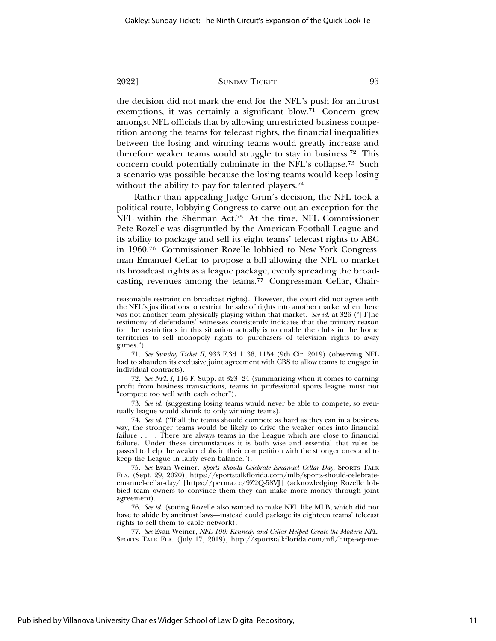the decision did not mark the end for the NFL's push for antitrust exemptions, it was certainly a significant blow.71 Concern grew amongst NFL officials that by allowing unrestricted business competition among the teams for telecast rights, the financial inequalities between the losing and winning teams would greatly increase and therefore weaker teams would struggle to stay in business.72 This concern could potentially culminate in the NFL's collapse.73 Such a scenario was possible because the losing teams would keep losing without the ability to pay for talented players.<sup>74</sup>

Rather than appealing Judge Grim's decision, the NFL took a political route, lobbying Congress to carve out an exception for the NFL within the Sherman Act.75 At the time, NFL Commissioner Pete Rozelle was disgruntled by the American Football League and its ability to package and sell its eight teams' telecast rights to ABC in 1960.76 Commissioner Rozelle lobbied to New York Congressman Emanuel Cellar to propose a bill allowing the NFL to market its broadcast rights as a league package, evenly spreading the broadcasting revenues among the teams.77 Congressman Cellar, Chair-

71. *See Sunday Ticket II*, 933 F.3d 1136, 1154 (9th Cir. 2019) (observing NFL had to abandon its exclusive joint agreement with CBS to allow teams to engage in individual contracts).

72. *See NFL I*, 116 F. Supp. at 323–24 (summarizing when it comes to earning profit from business transactions, teams in professional sports league must not "compete too well with each other").

73. *See id.* (suggesting losing teams would never be able to compete, so eventually league would shrink to only winning teams).

74. *See id.* ("If all the teams should compete as hard as they can in a business way, the stronger teams would be likely to drive the weaker ones into financial failure . . . . There are always teams in the League which are close to financial failure. Under these circumstances it is both wise and essential that rules be passed to help the weaker clubs in their competition with the stronger ones and to keep the League in fairly even balance.").

75. *See* Evan Weiner, *Sports Should Celebrate Emanuel Cellar Day*, SPORTS TALK FLA. (Sept. 29, 2020), https://sportstalkflorida.com/mlb/sports-should-celebrateemanuel-cellar-day/ [https://perma.cc/9Z2Q-58VJ] (acknowledging Rozelle lobbied team owners to convince them they can make more money through joint agreement).

76. *See id.* (stating Rozelle also wanted to make NFL like MLB, which did not have to abide by antitrust laws—instead could package its eighteen teams' telecast rights to sell them to cable network).

77. *See* Evan Weiner, *NFL 100: Kennedy and Cellar Helped Create the Modern NFL*, SPORTS TALK FLA. (July 17, 2019), http://sportstalkflorida.com/nfl/https-wp-me-

reasonable restraint on broadcast rights). However, the court did not agree with the NFL's justifications to restrict the sale of rights into another market when there was not another team physically playing within that market. *See id.* at 326 ("[T]he testimony of defendants' witnesses consistently indicates that the primary reason for the restrictions in this situation actually is to enable the clubs in the home territories to sell monopoly rights to purchasers of television rights to away games.").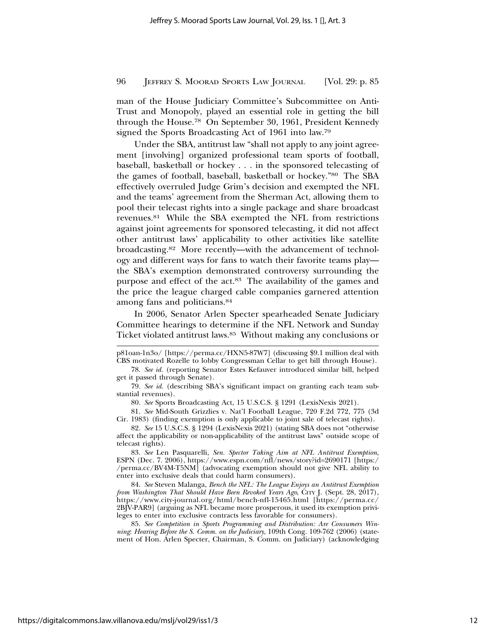man of the House Judiciary Committee's Subcommittee on Anti-Trust and Monopoly, played an essential role in getting the bill through the House.78 On September 30, 1961, President Kennedy signed the Sports Broadcasting Act of 1961 into law.79

Under the SBA, antitrust law "shall not apply to any joint agreement [involving] organized professional team sports of football, baseball, basketball or hockey . . . in the sponsored telecasting of the games of football, baseball, basketball or hockey."80 The SBA effectively overruled Judge Grim's decision and exempted the NFL and the teams' agreement from the Sherman Act, allowing them to pool their telecast rights into a single package and share broadcast revenues.81 While the SBA exempted the NFL from restrictions against joint agreements for sponsored telecasting, it did not affect other antitrust laws' applicability to other activities like satellite broadcasting.82 More recently—with the advancement of technology and different ways for fans to watch their favorite teams play the SBA's exemption demonstrated controversy surrounding the purpose and effect of the act.83 The availability of the games and the price the league charged cable companies garnered attention among fans and politicians.84

In 2006, Senator Arlen Specter spearheaded Senate Judiciary Committee hearings to determine if the NFL Network and Sunday Ticket violated antitrust laws.85 Without making any conclusions or

p81oan-1n3o/ [https://perma.cc/HXN5-87W7] (discussing \$9.1 million deal with CBS motivated Rozelle to lobby Congressman Cellar to get bill through House).

<sup>78.</sup> *See id.* (reporting Senator Estes Kefauver introduced similar bill, helped get it passed through Senate).

<sup>79.</sup> *See id.* (describing SBA's significant impact on granting each team substantial revenues).

<sup>80.</sup> *See* Sports Broadcasting Act, 15 U.S.C.S. § 1291 (LexisNexis 2021).

<sup>81.</sup> *See* Mid-South Grizzlies v. Nat'l Football League, 720 F.2d 772, 775 (3d Cir. 1983) (finding exemption is only applicable to joint sale of telecast rights).

<sup>82.</sup> *See* 15 U.S.C.S. § 1294 (LexisNexis 2021) (stating SBA does not "otherwise affect the applicability or non-applicability of the antitrust laws" outside scope of telecast rights).

<sup>83.</sup> *See* Len Pasquarelli, *Sen. Spector Taking Aim at NFL Antitrust Exemption*, ESPN (Dec. 7. 2006), https://www.espn.com/nfl/news/story?id=2690171 [https:/ /perma.cc/BV4M-T5NM] (advocating exemption should not give NFL ability to enter into exclusive deals that could harm consumers).

<sup>84.</sup> *See* Steven Malanga, *Bench the NFL: The League Enjoys an Antitrust Exemption from Washington That Should Have Been Revoked Years Ago*, CITY J. (Sept. 28, 2017), https://www.city-journal.org/html/bench-nfl-15465.html [https://perma.cc/ 2BJV-PAR9] (arguing as NFL became more prosperous, it used its exemption privileges to enter into exclusive contracts less favorable for consumers).

<sup>85.</sup> *See Competition in Sports Programming and Distribution: Are Consumers Winning*: *Hearing Before the S. Comm. on the Judiciary*, 109th Cong. 109-762 (2006) (statement of Hon. Arlen Specter, Chairman, S. Comm. on Judiciary) (acknowledging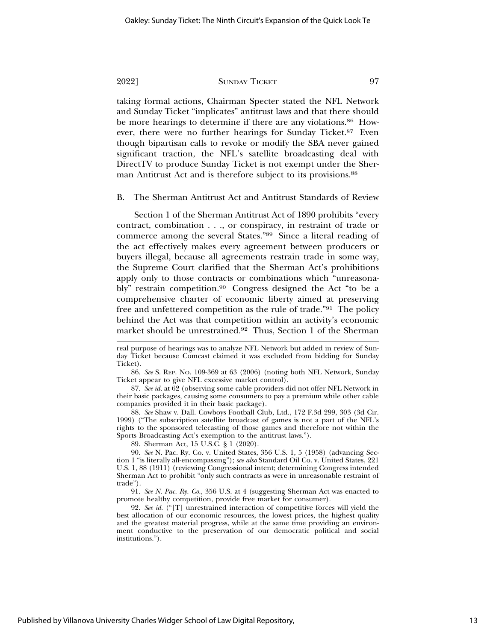taking formal actions, Chairman Specter stated the NFL Network and Sunday Ticket "implicates" antitrust laws and that there should be more hearings to determine if there are any violations.<sup>86</sup> However, there were no further hearings for Sunday Ticket.<sup>87</sup> Even though bipartisan calls to revoke or modify the SBA never gained significant traction, the NFL's satellite broadcasting deal with DirectTV to produce Sunday Ticket is not exempt under the Sherman Antitrust Act and is therefore subject to its provisions.<sup>88</sup>

B. The Sherman Antitrust Act and Antitrust Standards of Review

Section 1 of the Sherman Antitrust Act of 1890 prohibits "every contract, combination . . ., or conspiracy, in restraint of trade or commerce among the several States."89 Since a literal reading of the act effectively makes every agreement between producers or buyers illegal, because all agreements restrain trade in some way, the Supreme Court clarified that the Sherman Act's prohibitions apply only to those contracts or combinations which "unreasonably" restrain competition.<sup>90</sup> Congress designed the Act "to be a comprehensive charter of economic liberty aimed at preserving free and unfettered competition as the rule of trade."91 The policy behind the Act was that competition within an activity's economic market should be unrestrained.92 Thus, Section 1 of the Sherman

real purpose of hearings was to analyze NFL Network but added in review of Sunday Ticket because Comcast claimed it was excluded from bidding for Sunday Ticket).

86. *See* S. REP. NO. 109-369 at 63 (2006) (noting both NFL Network, Sunday Ticket appear to give NFL excessive market control).

87. *See id.* at 62 (observing some cable providers did not offer NFL Network in their basic packages, causing some consumers to pay a premium while other cable companies provided it in their basic package).

88. *See* Shaw v. Dall. Cowboys Football Club, Ltd., 172 F.3d 299, 303 (3d Cir. 1999) ("The subscription satellite broadcast of games is not a part of the NFL's rights to the sponsored telecasting of those games and therefore not within the Sports Broadcasting Act's exemption to the antitrust laws.").

89. Sherman Act, 15 U.S.C. § 1 (2020).

90. *See* N. Pac. Ry. Co. v. United States, 356 U.S. 1, 5 (1958) (advancing Section 1 "is literally all-encompassing"); *see also* Standard Oil Co. v. United States, 221 U.S. 1, 88 (1911) (reviewing Congressional intent; determining Congress intended Sherman Act to prohibit "only such contracts as were in unreasonable restraint of trade").

91. *See N. Pac. Ry. Co.*, 356 U.S. at 4 (suggesting Sherman Act was enacted to promote healthy competition, provide free market for consumer).

92. *See id.* ("[T] unrestrained interaction of competitive forces will yield the best allocation of our economic resources, the lowest prices, the highest quality and the greatest material progress, while at the same time providing an environment conductive to the preservation of our democratic political and social institutions.").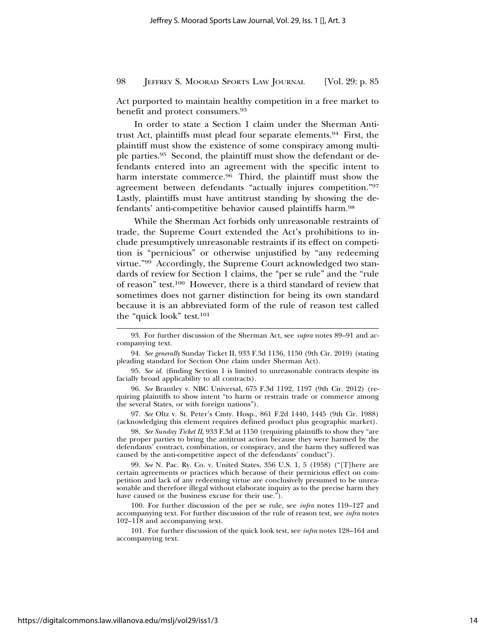Act purported to maintain healthy competition in a free market to benefit and protect consumers.93

In order to state a Section 1 claim under the Sherman Antitrust Act, plaintiffs must plead four separate elements.94 First, the plaintiff must show the existence of some conspiracy among multiple parties.95 Second, the plaintiff must show the defendant or defendants entered into an agreement with the specific intent to harm interstate commerce.<sup>96</sup> Third, the plaintiff must show the agreement between defendants "actually injures competition."97 Lastly, plaintiffs must have antitrust standing by showing the defendants' anti-competitive behavior caused plaintiffs harm.98

While the Sherman Act forbids only unreasonable restraints of trade, the Supreme Court extended the Act's prohibitions to include presumptively unreasonable restraints if its effect on competition is "pernicious" or otherwise unjustified by "any redeeming virtue."99 Accordingly, the Supreme Court acknowledged two standards of review for Section 1 claims, the "per se rule" and the "rule of reason" test.100 However, there is a third standard of review that sometimes does not garner distinction for being its own standard because it is an abbreviated form of the rule of reason test called the "quick look" test.101

97. *See* Oltz v. St. Peter's Cmty. Hosp., 861 F.2d 1440, 1445 (9th Cir. 1988) (acknowledging this element requires defined product plus geographic market).

98. *See Sunday Ticket II*, 933 F.3d at 1150 (requiring plaintiffs to show they "are the proper parties to bring the antitrust action because they were harmed by the defendants' contract, combination, or conspiracy, and the harm they suffered was caused by the anti-competitive aspect of the defendants' conduct").

99. *See* N*.* Pac. Ry. Co. v. United States, 356 U.S. 1, 5 (1958) ("[T]here are certain agreements or practices which because of their pernicious effect on competition and lack of any redeeming virtue are conclusively presumed to be unreasonable and therefore illegal without elaborate inquiry as to the precise harm they have caused or the business excuse for their use.").

100. For further discussion of the per se rule, see *infra* notes 119–127 and accompanying text. For further discussion of the rule of reason test, see *infra* notes 102–118 and accompanying text.

101. For further discussion of the quick look test, see *infra* notes 128–164 and accompanying text.

<sup>93.</sup> For further discussion of the Sherman Act, see *supra* notes 89–91 and accompanying text.

<sup>94.</sup> *See generally* Sunday Ticket II, 933 F.3d 1136, 1150 (9th Cir. 2019) (stating pleading standard for Section One claim under Sherman Act).

<sup>95.</sup> *See id.* (finding Section 1 is limited to unreasonable contracts despite its facially broad applicability to all contracts).

<sup>96.</sup> *See* Brantley v. NBC Universal, 675 F.3d 1192, 1197 (9th Cir. 2012) (requiring plaintiffs to show intent "to harm or restrain trade or commerce among the several States, or with foreign nations").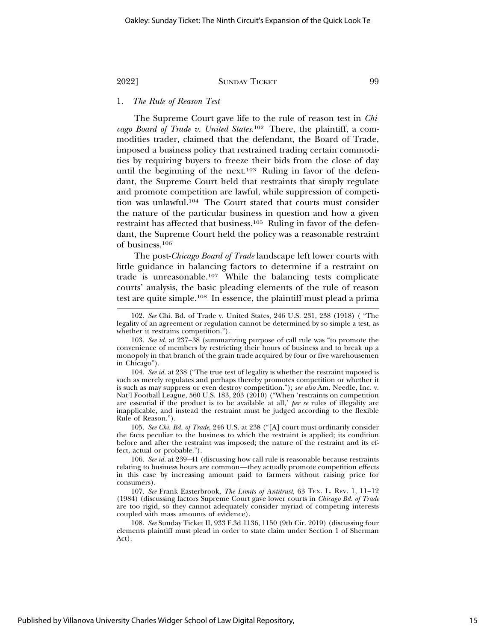#### 1. *The Rule of Reason Test*

The Supreme Court gave life to the rule of reason test in *Chicago Board of Trade v. United States*. 102 There, the plaintiff, a commodities trader, claimed that the defendant, the Board of Trade, imposed a business policy that restrained trading certain commodities by requiring buyers to freeze their bids from the close of day until the beginning of the next.<sup>103</sup> Ruling in favor of the defendant, the Supreme Court held that restraints that simply regulate and promote competition are lawful, while suppression of competition was unlawful.104 The Court stated that courts must consider the nature of the particular business in question and how a given restraint has affected that business.105 Ruling in favor of the defendant, the Supreme Court held the policy was a reasonable restraint of business.106

The post-*Chicago Board of Trade* landscape left lower courts with little guidance in balancing factors to determine if a restraint on trade is unreasonable.107 While the balancing tests complicate courts' analysis, the basic pleading elements of the rule of reason test are quite simple.108 In essence, the plaintiff must plead a prima

<sup>102.</sup> *See* Chi. Bd. of Trade v. United States, 246 U.S. 231, 238 (1918) ( "The legality of an agreement or regulation cannot be determined by so simple a test, as whether it restrains competition.").

<sup>103.</sup> *See id.* at 237–38 (summarizing purpose of call rule was "to promote the convenience of members by restricting their hours of business and to break up a monopoly in that branch of the grain trade acquired by four or five warehousemen in Chicago").

<sup>104.</sup> *See id.* at 238 ("The true test of legality is whether the restraint imposed is such as merely regulates and perhaps thereby promotes competition or whether it is such as may suppress or even destroy competition."); *see also* Am. Needle, Inc. v. Nat'l Football League, 560 U.S. 183, 203 (2010) ("When 'restraints on competition are essential if the product is to be available at all,' *per se* rules of illegality are inapplicable, and instead the restraint must be judged according to the flexible Rule of Reason.").

<sup>105.</sup> *See Chi. Bd. of Trade*, 246 U.S. at 238 ("[A] court must ordinarily consider the facts peculiar to the business to which the restraint is applied; its condition before and after the restraint was imposed; the nature of the restraint and its effect, actual or probable.").

<sup>106.</sup> *See id.* at 239–41 (discussing how call rule is reasonable because restraints relating to business hours are common—they actually promote competition effects in this case by increasing amount paid to farmers without raising price for consumers).

<sup>107.</sup> *See* Frank Easterbrook, *The Limits of Antitrust*, 63 TEX. L. REV. 1, 11–12 (1984) (discussing factors Supreme Court gave lower courts in *Chicago Bd. of Trade* are too rigid, so they cannot adequately consider myriad of competing interests coupled with mass amounts of evidence).

<sup>108.</sup> *See* Sunday Ticket II, 933 F.3d 1136, 1150 (9th Cir. 2019) (discussing four elements plaintiff must plead in order to state claim under Section 1 of Sherman Act).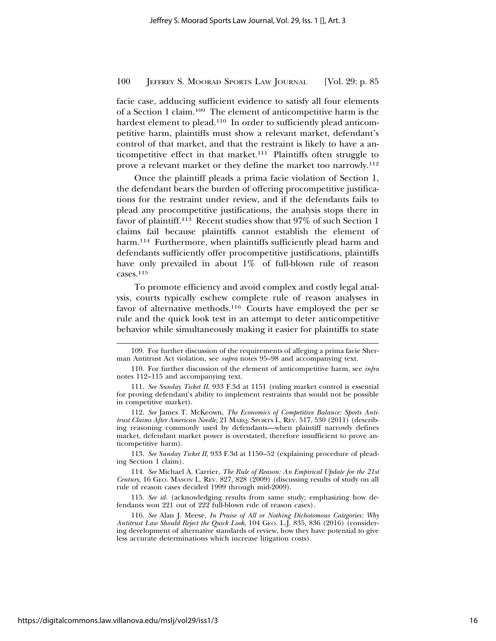facie case, adducing sufficient evidence to satisfy all four elements of a Section 1 claim.109 The element of anticompetitive harm is the hardest element to plead.<sup>110</sup> In order to sufficiently plead anticompetitive harm, plaintiffs must show a relevant market, defendant's control of that market, and that the restraint is likely to have a anticompetitive effect in that market.111 Plaintiffs often struggle to prove a relevant market or they define the market too narrowly.112

Once the plaintiff pleads a prima facie violation of Section 1, the defendant bears the burden of offering procompetitive justifications for the restraint under review, and if the defendants fails to plead any procompetitive justifications, the analysis stops there in favor of plaintiff.113 Recent studies show that 97% of such Section 1 claims fail because plaintiffs cannot establish the element of harm.<sup>114</sup> Furthermore, when plaintiffs sufficiently plead harm and defendants sufficiently offer procompetitive justifications, plaintiffs have only prevailed in about 1% of full-blown rule of reason cases.115

To promote efficiency and avoid complex and costly legal analysis, courts typically eschew complete rule of reason analyses in favor of alternative methods.116 Courts have employed the per se rule and the quick look test in an attempt to deter anticompetitive behavior while simultaneously making it easier for plaintiffs to state

110. For further discussion of the element of anticompetitive harm, see *infra* notes 112–115 and accompanying text.

113. *See Sunday Ticket II*, 933 F.3d at 1150–52 (explaining procedure of pleading Section 1 claim).

114. *See* Michael A. Carrier, *The Rule of Reason: An Empirical Update for the 21st Century*, 16 GEO. MASON L. REV. 827, 828 (2009) (discussing results of study on all rule of reason cases decided 1999 through mid-2009).

115. *See id.* (acknowledging results from same study; emphasizing how defendants won 221 out of 222 full-blown rule of reason cases).

116. *See* Alan J. Meese, *In Praise of All or Nothing Dichotomous Categories: Why Antitrust Law Should Reject the Quick Look*, 104 GEO. L.J. 835, 836 (2016) (considering development of alternative standards of review, how they have potential to give less accurate determinations which increase litigation costs).

<sup>109.</sup> For further discussion of the requirements of alleging a prima facie Sherman Antitrust Act violation, see *supra* notes 95–98 and accompanying text.

<sup>111.</sup> *See Sunday Ticket II*, 933 F.3d at 1151 (ruling market control is essential for proving defendant's ability to implement restraints that would not be possible in competitive market).

<sup>112.</sup> *See* James T. McKeown, *The Economics of Competitive Balance: Sports Antitrust Claims After American Needle*, 21 MARQ. SPORTS L. REV. 517, 530 (2011) (describing reasoning commonly used by defendants—when plaintiff narrowly defines market, defendant market power is overstated, therefore insufficient to prove anticompetitive harm).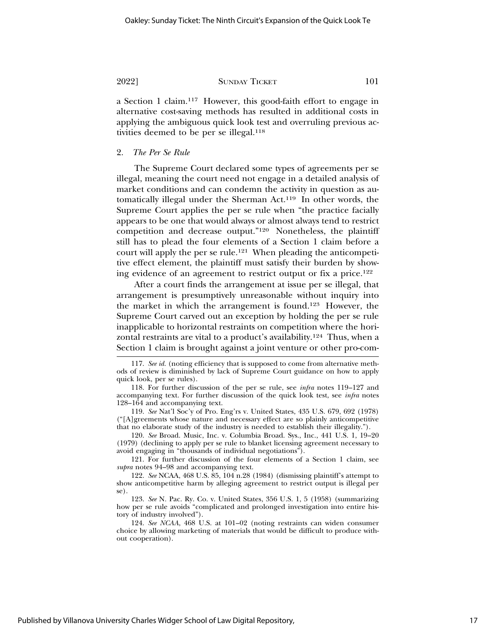a Section 1 claim.117 However, this good-faith effort to engage in alternative cost-saving methods has resulted in additional costs in applying the ambiguous quick look test and overruling previous activities deemed to be per se illegal.<sup>118</sup>

### 2. *The Per Se Rule*

The Supreme Court declared some types of agreements per se illegal, meaning the court need not engage in a detailed analysis of market conditions and can condemn the activity in question as automatically illegal under the Sherman Act.119 In other words, the Supreme Court applies the per se rule when "the practice facially appears to be one that would always or almost always tend to restrict competition and decrease output."120 Nonetheless, the plaintiff still has to plead the four elements of a Section 1 claim before a court will apply the per se rule.121 When pleading the anticompetitive effect element, the plaintiff must satisfy their burden by showing evidence of an agreement to restrict output or fix a price.122

After a court finds the arrangement at issue per se illegal, that arrangement is presumptively unreasonable without inquiry into the market in which the arrangement is found.123 However, the Supreme Court carved out an exception by holding the per se rule inapplicable to horizontal restraints on competition where the horizontal restraints are vital to a product's availability.124 Thus, when a Section 1 claim is brought against a joint venture or other pro-com-

120. *See* Broad. Music, Inc. v. Columbia Broad. Sys., Inc., 441 U.S. 1, 19–20 (1979) (declining to apply per se rule to blanket licensing agreement necessary to avoid engaging in "thousands of individual negotiations").

121. For further discussion of the four elements of a Section 1 claim, see *supra* notes 94–98 and accompanying text.

122. *See* NCAA, 468 U.S. 85, 104 n.28 (1984) (dismissing plaintiff's attempt to show anticompetitive harm by alleging agreement to restrict output is illegal per se).

123. *See* N*.* Pac. Ry. Co. v. United States, 356 U.S. 1, 5 (1958) (summarizing how per se rule avoids "complicated and prolonged investigation into entire history of industry involved").

124. *See NCAA*, 468 U.S. at 101–02 (noting restraints can widen consumer choice by allowing marketing of materials that would be difficult to produce without cooperation).

<sup>117.</sup> *See id.* (noting efficiency that is supposed to come from alternative methods of review is diminished by lack of Supreme Court guidance on how to apply quick look, per se rules).

<sup>118.</sup> For further discussion of the per se rule, see *infra* notes 119–127 and accompanying text. For further discussion of the quick look test, see *infra* notes 128–164 and accompanying text.

<sup>119.</sup> *See* Nat'l Soc'y of Pro. Eng'rs v. United States, 435 U.S. 679, 692 (1978)  $("A]$ greements whose nature and necessary effect are so plainly anticompetitive that no elaborate study of the industry is needed to establish their illegality.").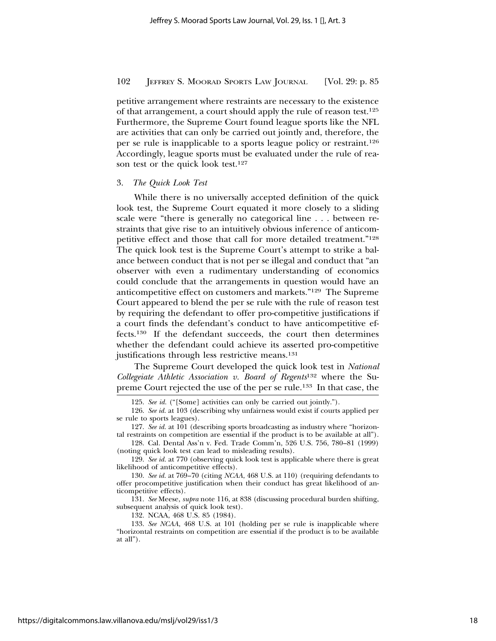petitive arrangement where restraints are necessary to the existence of that arrangement, a court should apply the rule of reason test.125 Furthermore, the Supreme Court found league sports like the NFL are activities that can only be carried out jointly and, therefore, the per se rule is inapplicable to a sports league policy or restraint.126 Accordingly, league sports must be evaluated under the rule of reason test or the quick look test.127

#### 3. *The Quick Look Test*

While there is no universally accepted definition of the quick look test, the Supreme Court equated it more closely to a sliding scale were "there is generally no categorical line . . . between restraints that give rise to an intuitively obvious inference of anticompetitive effect and those that call for more detailed treatment."128 The quick look test is the Supreme Court's attempt to strike a balance between conduct that is not per se illegal and conduct that "an observer with even a rudimentary understanding of economics could conclude that the arrangements in question would have an anticompetitive effect on customers and markets."129 The Supreme Court appeared to blend the per se rule with the rule of reason test by requiring the defendant to offer pro-competitive justifications if a court finds the defendant's conduct to have anticompetitive effects.130 If the defendant succeeds, the court then determines whether the defendant could achieve its asserted pro-competitive justifications through less restrictive means.<sup>131</sup>

The Supreme Court developed the quick look test in *National Collegeiate Athletic Association v. Board of Regents*132 where the Supreme Court rejected the use of the per se rule.133 In that case, the

128. Cal. Dental Ass'n v. Fed. Trade Comm'n, 526 U.S. 756, 780–81 (1999) (noting quick look test can lead to misleading results).

132. NCAA, 468 U.S. 85 (1984).

<sup>125.</sup> *See id.* ("[Some] activities can only be carried out jointly.").

<sup>126.</sup> *See id.* at 103 (describing why unfairness would exist if courts applied per se rule to sports leagues).

<sup>127.</sup> *See id.* at 101 (describing sports broadcasting as industry where "horizontal restraints on competition are essential if the product is to be available at all").

<sup>129.</sup> *See id.* at 770 (observing quick look test is applicable where there is great likelihood of anticompetitive effects).

<sup>130.</sup> *See id.* at 769–70 (citing *NCAA*, 468 U.S. at 110) (requiring defendants to offer procompetitive justification when their conduct has great likelihood of anticompetitive effects).

<sup>131.</sup> *See* Meese, *supra* note 116, at 838 (discussing procedural burden shifting, subsequent analysis of quick look test).

<sup>133.</sup> *See NCAA*, 468 U.S. at 101 (holding per se rule is inapplicable where "horizontal restraints on competition are essential if the product is to be available at all").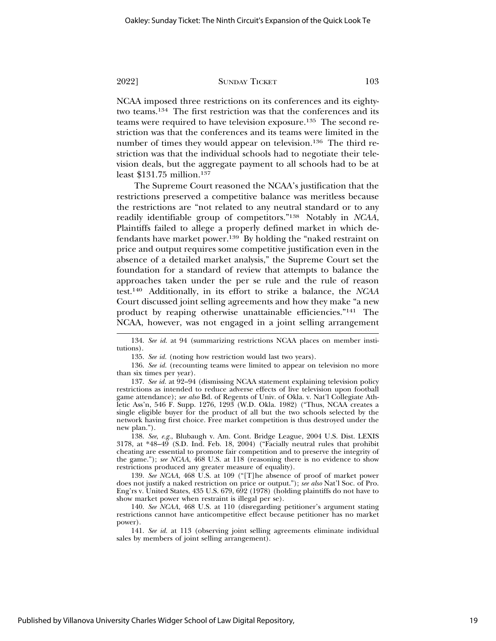NCAA imposed three restrictions on its conferences and its eightytwo teams.134 The first restriction was that the conferences and its teams were required to have television exposure.135 The second restriction was that the conferences and its teams were limited in the number of times they would appear on television.<sup>136</sup> The third restriction was that the individual schools had to negotiate their television deals, but the aggregate payment to all schools had to be at least \$131.75 million.137

The Supreme Court reasoned the NCAA's justification that the restrictions preserved a competitive balance was meritless because the restrictions are "not related to any neutral standard or to any readily identifiable group of competitors."138 Notably in *NCAA*, Plaintiffs failed to allege a properly defined market in which defendants have market power.139 By holding the "naked restraint on price and output requires some competitive justification even in the absence of a detailed market analysis," the Supreme Court set the foundation for a standard of review that attempts to balance the approaches taken under the per se rule and the rule of reason test.140 Additionally, in its effort to strike a balance, the *NCAA* Court discussed joint selling agreements and how they make "a new product by reaping otherwise unattainable efficiencies."141 The NCAA, however, was not engaged in a joint selling arrangement

134. *See id.* at 94 (summarizing restrictions NCAA places on member institutions).

135. *See id.* (noting how restriction would last two years).

136. *See id.* (recounting teams were limited to appear on television no more than six times per year).

137. *See id.* at 92–94 (dismissing NCAA statement explaining television policy restrictions as intended to reduce adverse effects of live television upon football game attendance); *see also* Bd. of Regents of Univ. of Okla. v. Nat'l Collegiate Athletic Ass'n, 546 F. Supp. 1276, 1293 (W.D. Okla. 1982) ("Thus, NCAA creates a single eligible buyer for the product of all but the two schools selected by the network having first choice. Free market competition is thus destroyed under the new plan.").

138. *See*, *e.g.*, Blubaugh v. Am. Cont. Bridge League, 2004 U.S. Dist. LEXIS 3178, at \*48–49 (S.D. Ind. Feb. 18, 2004) ("Facially neutral rules that prohibit cheating are essential to promote fair competition and to preserve the integrity of the game."); *see NCAA*, 468 U.S. at 118 (reasoning there is no evidence to show restrictions produced any greater measure of equality).

139. *See NCAA*, 468 U.S. at 109 ("[T]he absence of proof of market power does not justify a naked restriction on price or output."); *see also* Nat'l Soc. of Pro. Eng'rs v. United States, 435 U.S. 679, 692 (1978) (holding plaintiffs do not have to show market power when restraint is illegal per se).

140. *See NCAA*, 468 U.S. at 110 (disregarding petitioner's argument stating restrictions cannot have anticompetitive effect because petitioner has no market power).

141. *See id.* at 113 (observing joint selling agreements eliminate individual sales by members of joint selling arrangement).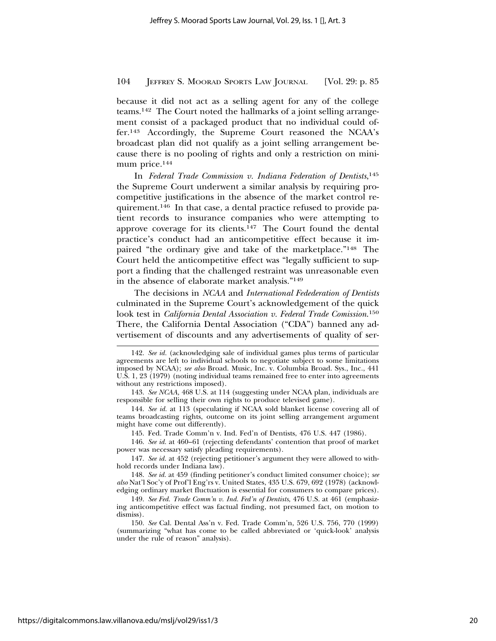because it did not act as a selling agent for any of the college teams.142 The Court noted the hallmarks of a joint selling arrangement consist of a packaged product that no individual could offer.143 Accordingly, the Supreme Court reasoned the NCAA's broadcast plan did not qualify as a joint selling arrangement because there is no pooling of rights and only a restriction on minimum price.<sup>144</sup>

In *Federal Trade Commission v. Indiana Federation of Dentists*, 145 the Supreme Court underwent a similar analysis by requiring procompetitive justifications in the absence of the market control requirement.146 In that case, a dental practice refused to provide patient records to insurance companies who were attempting to approve coverage for its clients.147 The Court found the dental practice's conduct had an anticompetitive effect because it impaired "the ordinary give and take of the marketplace."148 The Court held the anticompetitive effect was "legally sufficient to support a finding that the challenged restraint was unreasonable even in the absence of elaborate market analysis."149

The decisions in *NCAA* and *International Fedederation of Dentists* culminated in the Supreme Court's acknowledgement of the quick look test in *California Dental Association v. Federal Trade Comission*. 150 There, the California Dental Association ("CDA") banned any advertisement of discounts and any advertisements of quality of ser-

145. Fed. Trade Comm'n v. Ind. Fed'n of Dentists, 476 U.S. 447 (1986).

146. *See id.* at 460–61 (rejecting defendants' contention that proof of market power was necessary satisfy pleading requirements).

148. *See id.* at 459 (finding petitioner's conduct limited consumer choice); *see also* Nat'l Soc'y of Prof'l Eng'rs v. United States, 435 U.S. 679, 692 (1978) (acknowledging ordinary market fluctuation is essential for consumers to compare prices).

150. *See* Cal. Dental Ass'n v. Fed. Trade Comm'n, 526 U.S. 756, 770 (1999) (summarizing "what has come to be called abbreviated or 'quick-look' analysis under the rule of reason" analysis).

<sup>142.</sup> *See id.* (acknowledging sale of individual games plus terms of particular agreements are left to individual schools to negotiate subject to some limitations imposed by NCAA); *see also* Broad. Music, Inc. v. Columbia Broad. Sys., Inc., 441 U.S. 1, 23 (1979) (noting individual teams remained free to enter into agreements without any restrictions imposed).

<sup>143.</sup> *See NCAA,* 468 U.S. at 114 (suggesting under NCAA plan, individuals are responsible for selling their own rights to produce televised game).

<sup>144.</sup> *See id.* at 113 (speculating if NCAA sold blanket license covering all of teams broadcasting rights, outcome on its joint selling arrangement argument might have come out differently).

<sup>147.</sup> *See id.* at 452 (rejecting petitioner's argument they were allowed to withhold records under Indiana law).

<sup>149.</sup> *See Fed. Trade Comm'n v. Ind. Fed'n of Dentists*, 476 U.S. at 461 (emphasizing anticompetitive effect was factual finding, not presumed fact, on motion to dismiss).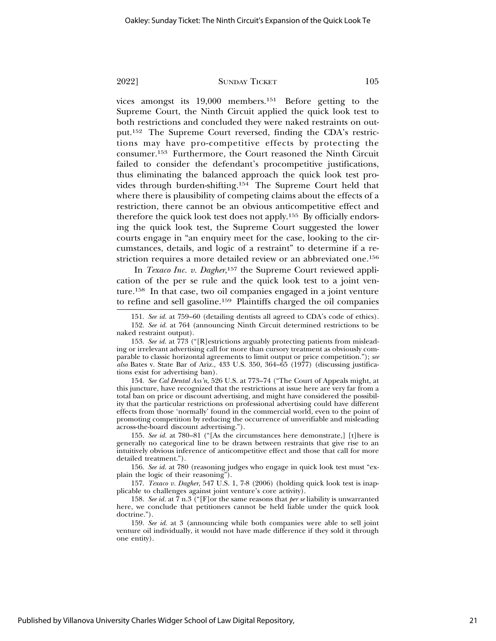vices amongst its 19,000 members.151 Before getting to the Supreme Court, the Ninth Circuit applied the quick look test to both restrictions and concluded they were naked restraints on output.152 The Supreme Court reversed, finding the CDA's restrictions may have pro-competitive effects by protecting the consumer.153 Furthermore, the Court reasoned the Ninth Circuit failed to consider the defendant's procompetitive justifications, thus eliminating the balanced approach the quick look test provides through burden-shifting.154 The Supreme Court held that where there is plausibility of competing claims about the effects of a restriction, there cannot be an obvious anticompetitive effect and therefore the quick look test does not apply.155 By officially endorsing the quick look test, the Supreme Court suggested the lower courts engage in "an enquiry meet for the case, looking to the circumstances, details, and logic of a restraint" to determine if a restriction requires a more detailed review or an abbreviated one.156

In *Texaco Inc. v. Dagher*,<sup>157</sup> the Supreme Court reviewed application of the per se rule and the quick look test to a joint venture.158 In that case, two oil companies engaged in a joint venture to refine and sell gasoline.159 Plaintiffs charged the oil companies

154. *See Cal Dental Ass'n*, 526 U.S. at 773–74 ("The Court of Appeals might, at this juncture, have recognized that the restrictions at issue here are very far from a total ban on price or discount advertising, and might have considered the possibility that the particular restrictions on professional advertising could have different effects from those 'normally' found in the commercial world, even to the point of promoting competition by reducing the occurrence of unverifiable and misleading across-the-board discount advertising.").

155. *See id.* at 780–81 ("[As the circumstances here demonstrate,] [t]here is generally no categorical line to be drawn between restraints that give rise to an intuitively obvious inference of anticompetitive effect and those that call for more detailed treatment.").

156. *See id.* at 780 (reasoning judges who engage in quick look test must "explain the logic of their reasoning").

157. *Texaco v. Dagher*, 547 U.S. 1, 7-8 (2006) (holding quick look test is inapplicable to challenges against joint venture's core activity).

158. *See id.* at 7 n.3 ("[F]or the same reasons that *per se* liability is unwarranted here, we conclude that petitioners cannot be held liable under the quick look doctrine.").

159. *See id.* at 3 (announcing while both companies were able to sell joint venture oil individually, it would not have made difference if they sold it through one entity).

<sup>151.</sup> *See id.* at 759–60 (detailing dentists all agreed to CDA's code of ethics).

<sup>152.</sup> *See id.* at 764 (announcing Ninth Circuit determined restrictions to be naked restraint output).

<sup>153.</sup> *See id.* at 773 ("[R]estrictions arguably protecting patients from misleading or irrelevant advertising call for more than cursory treatment as obviously comparable to classic horizontal agreements to limit output or price competition."); *see also* Bates v. State Bar of Ariz., 433 U.S. 350, 364–65 (1977) (discussing justifications exist for advertising ban).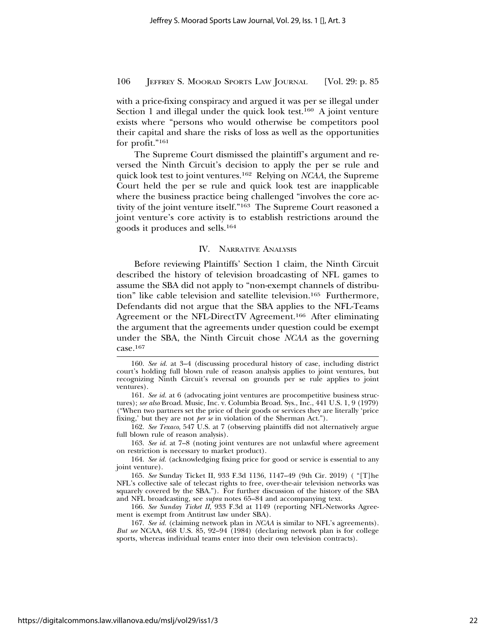with a price-fixing conspiracy and argued it was per se illegal under Section 1 and illegal under the quick look test.<sup>160</sup> A joint venture exists where "persons who would otherwise be competitors pool their capital and share the risks of loss as well as the opportunities for profit."161

The Supreme Court dismissed the plaintiff's argument and reversed the Ninth Circuit's decision to apply the per se rule and quick look test to joint ventures.162 Relying on *NCAA*, the Supreme Court held the per se rule and quick look test are inapplicable where the business practice being challenged "involves the core activity of the joint venture itself."163 The Supreme Court reasoned a joint venture's core activity is to establish restrictions around the goods it produces and sells.164

#### IV. NARRATIVE ANALYSIS

Before reviewing Plaintiffs' Section 1 claim, the Ninth Circuit described the history of television broadcasting of NFL games to assume the SBA did not apply to "non-exempt channels of distribution" like cable television and satellite television.165 Furthermore, Defendants did not argue that the SBA applies to the NFL-Teams Agreement or the NFL-DirectTV Agreement.166 After eliminating the argument that the agreements under question could be exempt under the SBA, the Ninth Circuit chose *NCAA* as the governing case.167

<sup>160.</sup> *See id.* at 3–4 (discussing procedural history of case, including district court's holding full blown rule of reason analysis applies to joint ventures, but recognizing Ninth Circuit's reversal on grounds per se rule applies to joint ventures).

<sup>161.</sup> *See id.* at 6 (advocating joint ventures are procompetitive business structures); *see also* Broad. Music, Inc. v. Columbia Broad. Sys., Inc., 441 U.S. 1, 9 (1979) ("When two partners set the price of their goods or services they are literally 'price fixing,' but they are not *per se* in violation of the Sherman Act.").

<sup>162.</sup> *See Texaco*, 547 U.S. at 7 (observing plaintiffs did not alternatively argue full blown rule of reason analysis).

<sup>163.</sup> *See id.* at 7–8 (noting joint ventures are not unlawful where agreement on restriction is necessary to market product).

<sup>164.</sup> *See id.* (acknowledging fixing price for good or service is essential to any joint venture).

<sup>165.</sup> *See* Sunday Ticket II, 933 F.3d 1136, 1147–49 (9th Cir. 2019) ( "[T]he NFL's collective sale of telecast rights to free, over-the-air television networks was squarely covered by the SBA."). For further discussion of the history of the SBA and NFL broadcasting, see *supra* notes 65–84 and accompanying text.

<sup>166.</sup> *See Sunday Ticket II*, 933 F.3d at 1149 (reporting NFL-Networks Agreement is exempt from Antitrust law under SBA).

<sup>167.</sup> *See id.* (claiming network plan in *NCAA* is similar to NFL's agreements). *But see* NCAA, 468 U.S. 85, 92–94 (1984) (declaring network plan is for college sports, whereas individual teams enter into their own television contracts).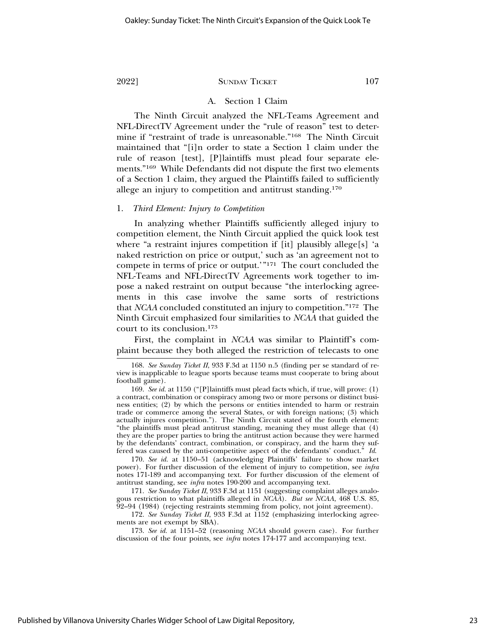#### A. Section 1 Claim

The Ninth Circuit analyzed the NFL-Teams Agreement and NFL-DirectTV Agreement under the "rule of reason" test to determine if "restraint of trade is unreasonable."168 The Ninth Circuit maintained that "[i]n order to state a Section 1 claim under the rule of reason [test], [P]laintiffs must plead four separate elements."169 While Defendants did not dispute the first two elements of a Section 1 claim, they argued the Plaintiffs failed to sufficiently allege an injury to competition and antitrust standing.170

#### 1. *Third Element: Injury to Competition*

In analyzing whether Plaintiffs sufficiently alleged injury to competition element, the Ninth Circuit applied the quick look test where "a restraint injures competition if [it] plausibly allege[s] 'a naked restriction on price or output,' such as 'an agreement not to compete in terms of price or output.'"171 The court concluded the NFL-Teams and NFL-DirectTV Agreements work together to impose a naked restraint on output because "the interlocking agreements in this case involve the same sorts of restrictions that *NCAA* concluded constituted an injury to competition."172 The Ninth Circuit emphasized four similarities to *NCAA* that guided the court to its conclusion.173

First, the complaint in *NCAA* was similar to Plaintiff's complaint because they both alleged the restriction of telecasts to one

170. *See id.* at 1150–51 (acknowledging Plaintiffs' failure to show market power). For further discussion of the element of injury to competition, see *infra* notes 171-189 and accompanying text. For further discussion of the element of antitrust standing, see *infra* notes 190-200 and accompanying text.

171. *See Sunday Ticket II*, 933 F.3d at 1151 (suggesting complaint alleges analogous restriction to what plaintiffs alleged in *NCAA*). *But see NCAA*, 468 U.S. 85, 92–94 (1984) (rejecting restraints stemming from policy, not joint agreement).

172. *See Sunday Ticket II*, 933 F.3d at 1152 (emphasizing interlocking agreements are not exempt by SBA).

173. *See id.* at 1151–52 (reasoning *NCAA* should govern case). For further discussion of the four points, see *infra* notes 174-177 and accompanying text.

<sup>168.</sup> *See Sunday Ticket II*, 933 F.3d at 1150 n.5 (finding per se standard of review is inapplicable to league sports because teams must cooperate to bring about football game).

<sup>169.</sup> *See id.* at 1150 ("[P]laintiffs must plead facts which, if true, will prove: (1) a contract, combination or conspiracy among two or more persons or distinct business entities; (2) by which the persons or entities intended to harm or restrain trade or commerce among the several States, or with foreign nations; (3) which actually injures competition."). The Ninth Circuit stated of the fourth element: "the plaintiffs must plead antitrust standing, meaning they must allege that (4) they are the proper parties to bring the antitrust action because they were harmed by the defendants' contract, combination, or conspiracy, and the harm they suffered was caused by the anti-competitive aspect of the defendants' conduct." *Id*.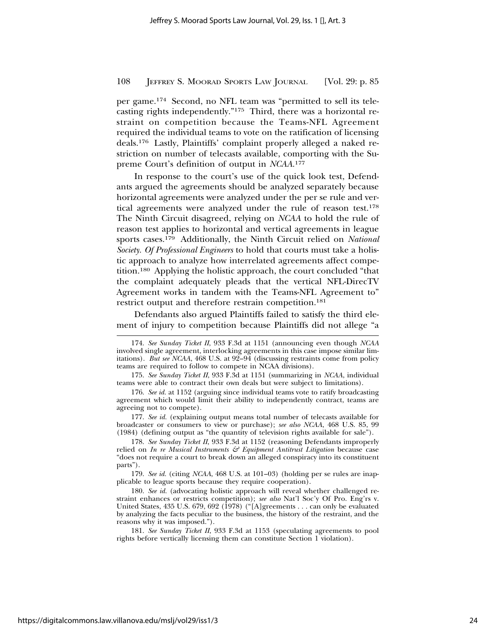per game.174 Second, no NFL team was "permitted to sell its telecasting rights independently."175 Third, there was a horizontal restraint on competition because the Teams-NFL Agreement required the individual teams to vote on the ratification of licensing deals.176 Lastly, Plaintiffs' complaint properly alleged a naked restriction on number of telecasts available, comporting with the Supreme Court's definition of output in *NCAA*. 177

In response to the court's use of the quick look test, Defendants argued the agreements should be analyzed separately because horizontal agreements were analyzed under the per se rule and vertical agreements were analyzed under the rule of reason test.178 The Ninth Circuit disagreed, relying on *NCAA* to hold the rule of reason test applies to horizontal and vertical agreements in league sports cases.179 Additionally, the Ninth Circuit relied on *National Society. Of Professional Engineers* to hold that courts must take a holistic approach to analyze how interrelated agreements affect competition.180 Applying the holistic approach, the court concluded "that the complaint adequately pleads that the vertical NFL-DirecTV Agreement works in tandem with the Teams-NFL Agreement to" restrict output and therefore restrain competition.181

Defendants also argued Plaintiffs failed to satisfy the third element of injury to competition because Plaintiffs did not allege "a

177. *See id.* (explaining output means total number of telecasts available for broadcaster or consumers to view or purchase); *see also NCAA*, 468 U.S. 85, 99 (1984) (defining output as "the quantity of television rights available for sale").

178. *See Sunday Ticket II*, 933 F.3d at 1152 (reasoning Defendants improperly relied on *In re Musical Instruments & Equipment Antitrust Litigation* because case "does not require a court to break down an alleged conspiracy into its constituent parts").

179. *See id.* (citing *NCAA*, 468 U.S. at 101–03) (holding per se rules are inapplicable to league sports because they require cooperation).

180. *See id.* (advocating holistic approach will reveal whether challenged restraint enhances or restricts competition); *see also* Nat'l Soc'y Of Pro. Eng'rs v. United States, 435 U.S. 679, 692 (1978) ("[A]greements . . . can only be evaluated by analyzing the facts peculiar to the business, the history of the restraint, and the reasons why it was imposed.").

181. *See Sunday Ticket II*, 933 F.3d at 1153 (speculating agreements to pool rights before vertically licensing them can constitute Section 1 violation).

<sup>174.</sup> *See Sunday Ticket II*, 933 F.3d at 1151 (announcing even though *NCAA* involved single agreement, interlocking agreements in this case impose similar limitations). *But see NCAA*,  $468$  U.S. at  $92\overline{-}94$  (discussing restraints come from policy teams are required to follow to compete in NCAA divisions).

<sup>175.</sup> *See Sunday Ticket II*, 933 F.3d at 1151 (summarizing in *NCAA*, individual teams were able to contract their own deals but were subject to limitations).

<sup>176.</sup> *See id.* at 1152 (arguing since individual teams vote to ratify broadcasting agreement which would limit their ability to independently contract, teams are agreeing not to compete).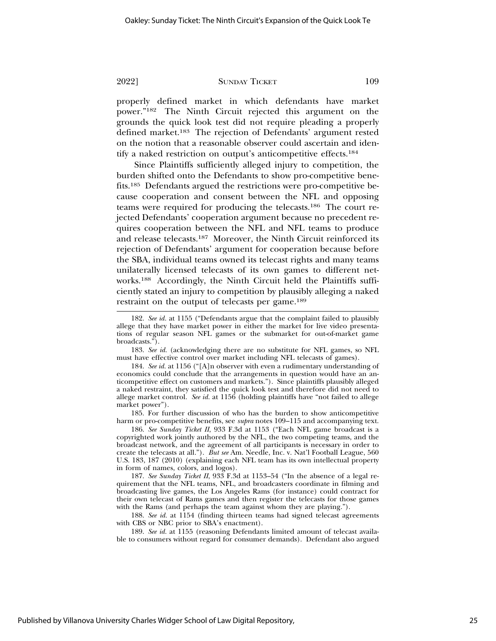properly defined market in which defendants have market power."182 The Ninth Circuit rejected this argument on the grounds the quick look test did not require pleading a properly defined market.183 The rejection of Defendants' argument rested on the notion that a reasonable observer could ascertain and identify a naked restriction on output's anticompetitive effects.184

Since Plaintiffs sufficiently alleged injury to competition, the burden shifted onto the Defendants to show pro-competitive benefits.185 Defendants argued the restrictions were pro-competitive because cooperation and consent between the NFL and opposing teams were required for producing the telecasts.186 The court rejected Defendants' cooperation argument because no precedent requires cooperation between the NFL and NFL teams to produce and release telecasts.187 Moreover, the Ninth Circuit reinforced its rejection of Defendants' argument for cooperation because before the SBA, individual teams owned its telecast rights and many teams unilaterally licensed telecasts of its own games to different networks.188 Accordingly, the Ninth Circuit held the Plaintiffs sufficiently stated an injury to competition by plausibly alleging a naked restraint on the output of telecasts per game.189

184. *See id.* at 1156 ("[A]n observer with even a rudimentary understanding of economics could conclude that the arrangements in question would have an anticompetitive effect on customers and markets."). Since plaintiffs plausibly alleged a naked restraint, they satisfied the quick look test and therefore did not need to allege market control. *See id.* at 1156 (holding plaintiffs have "not failed to allege market power").

185. For further discussion of who has the burden to show anticompetitive harm or pro-competitive benefits, see *supra* notes 109–115 and accompanying text.

186. *See Sunday Ticket II*, 933 F.3d at 1153 ("Each NFL game broadcast is a copyrighted work jointly authored by the NFL, the two competing teams, and the broadcast network, and the agreement of all participants is necessary in order to create the telecasts at all."). *But see* Am. Needle, Inc. v. Nat'l Football League, 560 U.S. 183, 187 (2010) (explaining each NFL team has its own intellectual property in form of names, colors, and logos).

187. *See Sunday Ticket II*, 933 F.3d at 1153–54 ("In the absence of a legal requirement that the NFL teams, NFL, and broadcasters coordinate in filming and broadcasting live games, the Los Angeles Rams (for instance) could contract for their own telecast of Rams games and then register the telecasts for those games with the Rams (and perhaps the team against whom they are playing.").

188. *See id.* at 1154 (finding thirteen teams had signed telecast agreements with CBS or NBC prior to SBA's enactment).

189. *See id.* at 1155 (reasoning Defendants limited amount of telecast available to consumers without regard for consumer demands). Defendant also argued

<sup>182.</sup> *See id.* at 1155 ("Defendants argue that the complaint failed to plausibly allege that they have market power in either the market for live video presentations of regular season NFL games or the submarket for out-of-market game broadcasts.").

<sup>183.</sup> *See id.* (acknowledging there are no substitute for NFL games, so NFL must have effective control over market including NFL telecasts of games).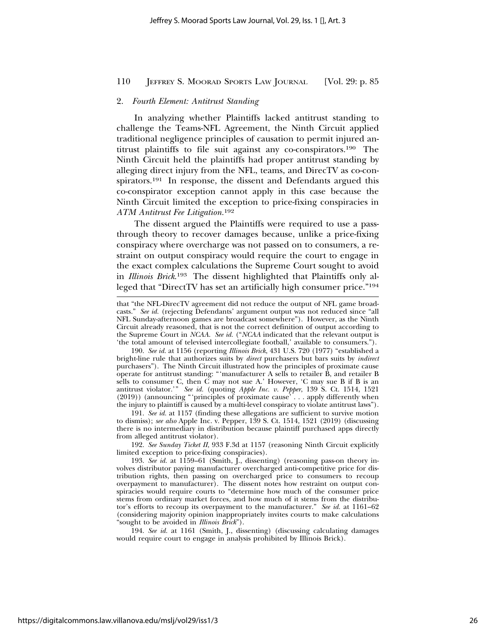#### 2. *Fourth Element: Antitrust Standing*

In analyzing whether Plaintiffs lacked antitrust standing to challenge the Teams-NFL Agreement, the Ninth Circuit applied traditional negligence principles of causation to permit injured antitrust plaintiffs to file suit against any co-conspirators.190 The Ninth Circuit held the plaintiffs had proper antitrust standing by alleging direct injury from the NFL, teams, and DirecTV as co-conspirators.191 In response, the dissent and Defendants argued this co-conspirator exception cannot apply in this case because the Ninth Circuit limited the exception to price-fixing conspiracies in *ATM Antitrust Fee Litigation.*<sup>192</sup>

The dissent argued the Plaintiffs were required to use a passthrough theory to recover damages because, unlike a price-fixing conspiracy where overcharge was not passed on to consumers, a restraint on output conspiracy would require the court to engage in the exact complex calculations the Supreme Court sought to avoid in *Illinois Brick*. 193 The dissent highlighted that Plaintiffs only alleged that "DirectTV has set an artificially high consumer price."194

191. *See id.* at 1157 (finding these allegations are sufficient to survive motion to dismiss); *see also* Apple Inc. v. Pepper, 139 S. Ct. 1514, 1521 (2019) (discussing there is no intermediary in distribution because plaintiff purchased apps directly from alleged antitrust violator).

192. *See Sunday Ticket II*, 933 F.3d at 1157 (reasoning Ninth Circuit explicitly limited exception to price-fixing conspiracies).

194. *See id.* at 1161 (Smith, J., dissenting) (discussing calculating damages would require court to engage in analysis prohibited by Illinois Brick).

that "the NFL-DirecTV agreement did not reduce the output of NFL game broadcasts." *See id.* (rejecting Defendants' argument output was not reduced since "all NFL Sunday-afternoon games are broadcast somewhere"). However, as the Ninth Circuit already reasoned, that is not the correct definition of output according to the Supreme Court in *NCAA*. *See id.* ("*NCAA* indicated that the relevant output is 'the total amount of televised intercollegiate football,' available to consumers.").

<sup>190.</sup> *See id.* at 1156 (reporting *Illinois Brick*, 431 U.S. 720 (1977) "established a bright-line rule that authorizes suits by *direct* purchasers but bars suits by *indirect* purchasers"). The Ninth Circuit illustrated how the principles of proximate cause operate for antitrust standing: "'manufacturer A sells to retailer B, and retailer B sells to consumer C, then  $\widetilde{C}$  may not sue A.' However, 'C may sue B if B is an antitrust violator.'" *See id.* (quoting *Apple Inc. v. Pepper*, 139 S. Ct. 1514, 1521 (2019)) (announcing "'principles of proximate cause' . . . apply differently when the injury to plaintiff is caused by a multi-level conspiracy to violate antitrust laws").

<sup>193.</sup> *See id.* at 1159–61 (Smith, J., dissenting) (reasoning pass-on theory involves distributor paying manufacturer overcharged anti-competitive price for distribution rights, then passing on overcharged price to consumers to recoup overpayment to manufacturer). The dissent notes how restraint on output conspiracies would require courts to "determine how much of the consumer price stems from ordinary market forces, and how much of it stems from the distributor's efforts to recoup its overpayment to the manufacturer." *See id.* at 1161–62 (considering majority opinion inappropriately invites courts to make calculations "sought to be avoided in *Illinois Brick*").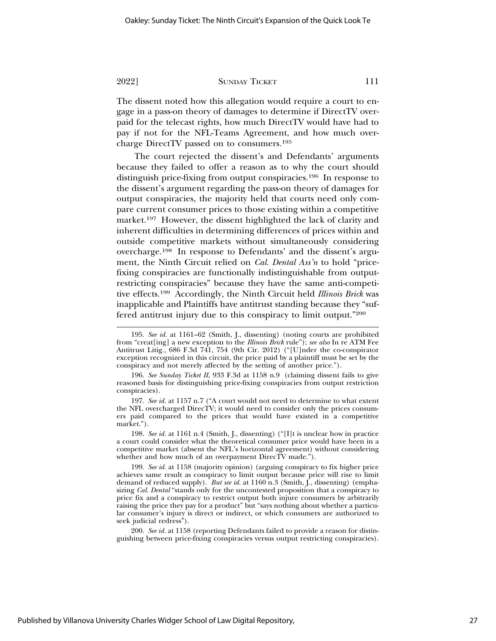The dissent noted how this allegation would require a court to engage in a pass-on theory of damages to determine if DirectTV overpaid for the telecast rights, how much DirectTV would have had to pay if not for the NFL-Teams Agreement, and how much overcharge DirectTV passed on to consumers.195

The court rejected the dissent's and Defendants' arguments because they failed to offer a reason as to why the court should distinguish price-fixing from output conspiracies.196 In response to the dissent's argument regarding the pass-on theory of damages for output conspiracies, the majority held that courts need only compare current consumer prices to those existing within a competitive market.<sup>197</sup> However, the dissent highlighted the lack of clarity and inherent difficulties in determining differences of prices within and outside competitive markets without simultaneously considering overcharge.198 In response to Defendants' and the dissent's argument, the Ninth Circuit relied on *Cal. Dental Ass'n* to hold "pricefixing conspiracies are functionally indistinguishable from outputrestricting conspiracies" because they have the same anti-competitive effects.199 Accordingly, the Ninth Circuit held *Illinois Brick* was inapplicable and Plaintiffs have antitrust standing because they "suffered antitrust injury due to this conspiracy to limit output."200

<sup>195.</sup> *See id.* at 1161–62 (Smith, J., dissenting) (noting courts are prohibited from "creat[ing] a new exception to the *Illinois Brick* rule"); *see also* In re ATM Fee Antitrust Litig., 686 F.3d 741, 754 (9th Cir. 2012) ("[U]nder the co-conspirator exception recognized in this circuit, the price paid by a plaintiff must be set by the conspiracy and not merely affected by the setting of another price.").

<sup>196.</sup> *See Sunday Ticket II*, 933 F.3d at 1158 n.9 (claiming dissent fails to give reasoned basis for distinguishing price-fixing conspiracies from output restriction conspiracies).

<sup>197.</sup> *See id.* at 1157 n.7 ("A court would not need to determine to what extent the NFL overcharged DirecTV; it would need to consider only the prices consumers paid compared to the prices that would have existed in a competitive market.").

<sup>198.</sup> *See id.* at 1161 n.4 (Smith, J., dissenting) ("[I]t is unclear how in practice a court could consider what the theoretical consumer price would have been in a competitive market (absent the NFL's horizontal agreement) without considering whether and how much of an overpayment DirecTV made.").

<sup>199.</sup> *See id.* at 1158 (majority opinion) (arguing conspiracy to fix higher price achieves same result as conspiracy to limit output because price will rise to limit demand of reduced supply). *But see id.* at 1160 n.3 (Smith, J., dissenting) (emphasizing *Cal. Dental* "stands only for the uncontested proposition that a conspiracy to price fix and a conspiracy to restrict output both injure consumers by arbitrarily raising the price they pay for a product" but "says nothing about whether a particular consumer's injury is direct or indirect, or which consumers are authorized to seek judicial redress").

<sup>200.</sup> *See id.* at 1158 (reporting Defendants failed to provide a reason for distinguishing between price-fixing conspiracies versus output restricting conspiracies).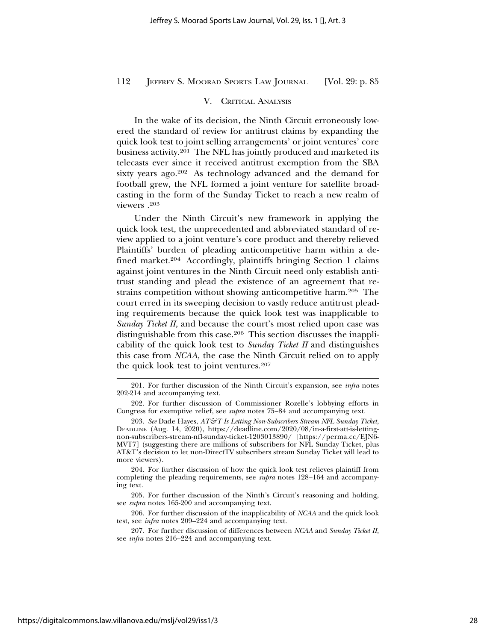#### V. CRITICAL ANALYSIS

In the wake of its decision, the Ninth Circuit erroneously lowered the standard of review for antitrust claims by expanding the quick look test to joint selling arrangements' or joint ventures' core business activity.201 The NFL has jointly produced and marketed its telecasts ever since it received antitrust exemption from the SBA sixty years ago.<sup>202</sup> As technology advanced and the demand for football grew, the NFL formed a joint venture for satellite broadcasting in the form of the Sunday Ticket to reach a new realm of viewers .203

Under the Ninth Circuit's new framework in applying the quick look test, the unprecedented and abbreviated standard of review applied to a joint venture's core product and thereby relieved Plaintiffs' burden of pleading anticompetitive harm within a defined market.204 Accordingly, plaintiffs bringing Section 1 claims against joint ventures in the Ninth Circuit need only establish antitrust standing and plead the existence of an agreement that restrains competition without showing anticompetitive harm.205 The court erred in its sweeping decision to vastly reduce antitrust pleading requirements because the quick look test was inapplicable to *Sunday Ticket II,* and because the court's most relied upon case was distinguishable from this case.206 This section discusses the inapplicability of the quick look test to *Sunday Ticket II* and distinguishes this case from *NCAA,* the case the Ninth Circuit relied on to apply the quick look test to joint ventures.207

204. For further discussion of how the quick look test relieves plaintiff from completing the pleading requirements, see *supra* notes 128–164 and accompanying text.

205. For further discussion of the Ninth's Circuit's reasoning and holding, see *supra* notes 165-200 and accompanying text.

206. For further discussion of the inapplicability of *NCAA* and the quick look test, see *infra* notes 209–224 and accompanying text.

207. For further discussion of differences between *NCAA* and *Sunday Ticket II*, see *infra* notes 216–224 and accompanying text.

<sup>201.</sup> For further discussion of the Ninth Circuit's expansion, see *infra* notes 202-214 and accompanying text.

<sup>202.</sup> For further discussion of Commissioner Rozelle's lobbying efforts in Congress for exemptive relief, see *supra* notes 75–84 and accompanying text.

<sup>203.</sup> *See* Dade Hayes, *AT&T Is Letting Non-Subscribers Stream NFL Sunday Ticket*, DEADLINE (Aug. 14, 2020), https://deadline.com/2020/08/in-a-first-att-is-lettingnon-subscribers-stream-nfl-sunday-ticket-1203013890/ [https://perma.cc/EJN6- MVT7] (suggesting there are millions of subscribers for NFL Sunday Ticket, plus AT&T's decision to let non-DirectTV subscribers stream Sunday Ticket will lead to more viewers).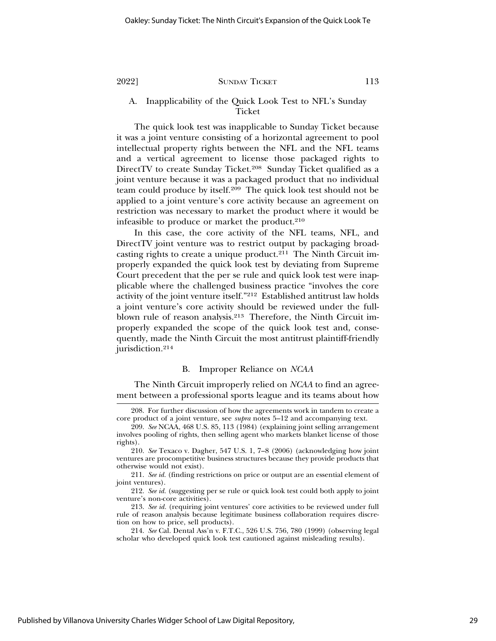# A. Inapplicability of the Quick Look Test to NFL's Sunday **Ticket**

The quick look test was inapplicable to Sunday Ticket because it was a joint venture consisting of a horizontal agreement to pool intellectual property rights between the NFL and the NFL teams and a vertical agreement to license those packaged rights to DirectTV to create Sunday Ticket.208 Sunday Ticket qualified as a joint venture because it was a packaged product that no individual team could produce by itself.209 The quick look test should not be applied to a joint venture's core activity because an agreement on restriction was necessary to market the product where it would be infeasible to produce or market the product. $210$ 

In this case, the core activity of the NFL teams, NFL, and DirectTV joint venture was to restrict output by packaging broadcasting rights to create a unique product.211 The Ninth Circuit improperly expanded the quick look test by deviating from Supreme Court precedent that the per se rule and quick look test were inapplicable where the challenged business practice "involves the core activity of the joint venture itself."212 Established antitrust law holds a joint venture's core activity should be reviewed under the fullblown rule of reason analysis.213 Therefore, the Ninth Circuit improperly expanded the scope of the quick look test and, consequently, made the Ninth Circuit the most antitrust plaintiff-friendly jurisdiction.214

#### B. Improper Reliance on *NCAA*

The Ninth Circuit improperly relied on *NCAA* to find an agreement between a professional sports league and its teams about how

<sup>208.</sup> For further discussion of how the agreements work in tandem to create a core product of a joint venture, see *supra* notes 5–12 and accompanying text.

<sup>209.</sup> *See* NCAA, 468 U.S. 85, 113 (1984) (explaining joint selling arrangement involves pooling of rights, then selling agent who markets blanket license of those rights).

<sup>210.</sup> *See* Texaco v. Dagher, 547 U.S. 1, 7–8 (2006) (acknowledging how joint ventures are procompetitive business structures because they provide products that otherwise would not exist).

<sup>211.</sup> *See id.* (finding restrictions on price or output are an essential element of joint ventures).

<sup>212.</sup> *See id.* (suggesting per se rule or quick look test could both apply to joint venture's non-core activities).

<sup>213.</sup> *See id.* (requiring joint ventures' core activities to be reviewed under full rule of reason analysis because legitimate business collaboration requires discretion on how to price, sell products).

<sup>214.</sup> *See* Cal. Dental Ass'n v. F.T.C., 526 U.S. 756, 780 (1999) (observing legal scholar who developed quick look test cautioned against misleading results).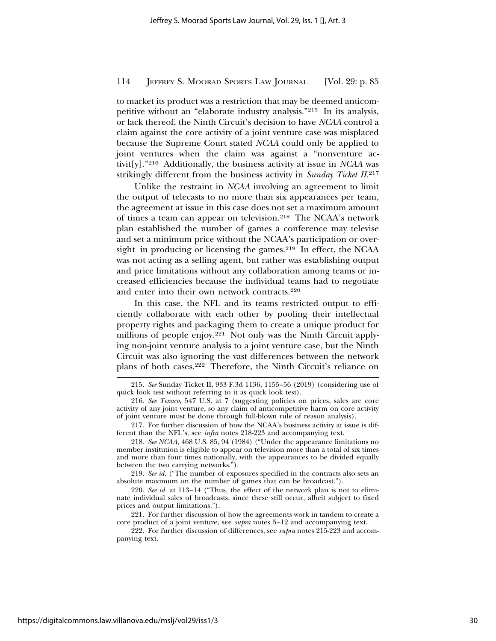to market its product was a restriction that may be deemed anticompetitive without an "elaborate industry analysis."215 In its analysis, or lack thereof, the Ninth Circuit's decision to have *NCAA* control a claim against the core activity of a joint venture case was misplaced because the Supreme Court stated *NCAA* could only be applied to joint ventures when the claim was against a "nonventure activit[y]."216 Additionally, the business activity at issue in *NCAA* was strikingly different from the business activity in *Sunday Ticket II.*<sup>217</sup>

Unlike the restraint in *NCAA* involving an agreement to limit the output of telecasts to no more than six appearances per team, the agreement at issue in this case does not set a maximum amount of times a team can appear on television.218 The NCAA's network plan established the number of games a conference may televise and set a minimum price without the NCAA's participation or oversight in producing or licensing the games.<sup>219</sup> In effect, the NCAA was not acting as a selling agent, but rather was establishing output and price limitations without any collaboration among teams or increased efficiencies because the individual teams had to negotiate and enter into their own network contracts.220

In this case, the NFL and its teams restricted output to efficiently collaborate with each other by pooling their intellectual property rights and packaging them to create a unique product for millions of people enjoy.<sup>221</sup> Not only was the Ninth Circuit applying non-joint venture analysis to a joint venture case, but the Ninth Circuit was also ignoring the vast differences between the network plans of both cases.222 Therefore, the Ninth Circuit's reliance on

219. *See id.* ("The number of exposures specified in the contracts also sets an absolute maximum on the number of games that can be broadcast.").

220. *See id.* at 113–14 ("Thus, the effect of the network plan is not to eliminate individual sales of broadcasts, since these still occur, albeit subject to fixed prices and output limitations.").

221. For further discussion of how the agreements work in tandem to create a core product of a joint venture, see *supra* notes 5–12 and accompanying text.

222. For further discussion of differences, see *supra* notes 215-223 and accompanying text.

<sup>215.</sup> *See* Sunday Ticket II, 933 F.3d 1136, 1155–56 (2019) (considering use of quick look test without referring to it as quick look test).

<sup>216.</sup> *See Texaco*, 547 U.S. at 7 (suggesting policies on prices, sales are core activity of any joint venture, so any claim of anticompetitive harm on core activity of joint venture must be done through full-blown rule of reason analysis).

<sup>217.</sup> For further discussion of how the NCAA's business activity at issue is different than the NFL's, see *infra* notes 218-223 and accompanying text.

<sup>218.</sup> *See NCAA*, 468 U.S. 85, 94 (1984) ("Under the appearance limitations no member institution is eligible to appear on television more than a total of six times and more than four times nationally, with the appearances to be divided equally between the two carrying networks.").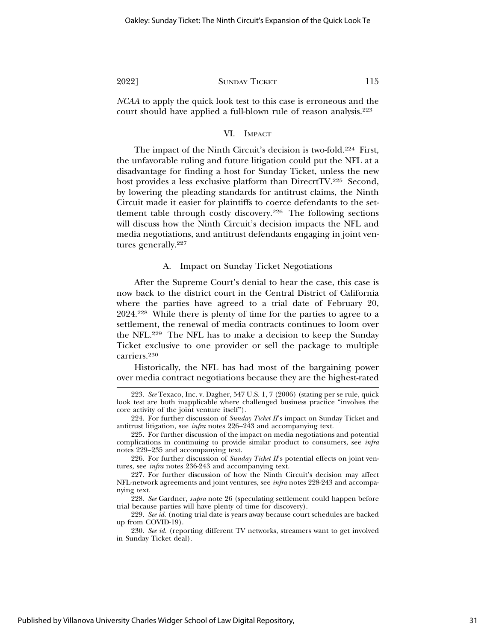*NCAA* to apply the quick look test to this case is erroneous and the court should have applied a full-blown rule of reason analysis.223

### VI. IMPACT

The impact of the Ninth Circuit's decision is two-fold.<sup>224</sup> First, the unfavorable ruling and future litigation could put the NFL at a disadvantage for finding a host for Sunday Ticket, unless the new host provides a less exclusive platform than DirecrtTV.225 Second, by lowering the pleading standards for antitrust claims, the Ninth Circuit made it easier for plaintiffs to coerce defendants to the settlement table through costly discovery.226 The following sections will discuss how the Ninth Circuit's decision impacts the NFL and media negotiations, and antitrust defendants engaging in joint ventures generally.<sup>227</sup>

A. Impact on Sunday Ticket Negotiations

After the Supreme Court's denial to hear the case, this case is now back to the district court in the Central District of California where the parties have agreed to a trial date of February 20, 2024.228 While there is plenty of time for the parties to agree to a settlement, the renewal of media contracts continues to loom over the NFL.229 The NFL has to make a decision to keep the Sunday Ticket exclusive to one provider or sell the package to multiple carriers.230

Historically, the NFL has had most of the bargaining power over media contract negotiations because they are the highest-rated

<sup>223.</sup> *See* Texaco, Inc. v. Dagher, 547 U.S. 1, 7 (2006) (stating per se rule, quick look test are both inapplicable where challenged business practice "involves the core activity of the joint venture itself").

<sup>224.</sup> For further discussion of *Sunday Ticket II*'s impact on Sunday Ticket and antitrust litigation, see *infra* notes 226–243 and accompanying text.

<sup>225.</sup> For further discussion of the impact on media negotiations and potential complications in continuing to provide similar product to consumers, see *infra* notes 229–235 and accompanying text.

<sup>226.</sup> For further discussion of *Sunday Ticket II*'s potential effects on joint ventures, see *infra* notes 236-243 and accompanying text.

<sup>227.</sup> For further discussion of how the Ninth Circuit's decision may affect NFL-network agreements and joint ventures, see *infra* notes 228-243 and accompanying text.

<sup>228.</sup> *See* Gardner, *supra* note 26 (speculating settlement could happen before trial because parties will have plenty of time for discovery).

<sup>229.</sup> *See id.* (noting trial date is years away because court schedules are backed up from COVID-19).

<sup>230.</sup> *See id.* (reporting different TV networks, streamers want to get involved in Sunday Ticket deal).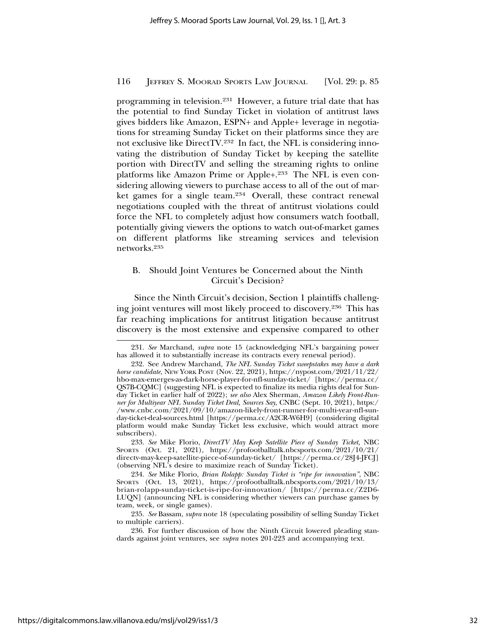programming in television.231 However, a future trial date that has the potential to find Sunday Ticket in violation of antitrust laws gives bidders like Amazon, ESPN+ and Apple+ leverage in negotiations for streaming Sunday Ticket on their platforms since they are not exclusive like DirectTV.232 In fact, the NFL is considering innovating the distribution of Sunday Ticket by keeping the satellite portion with DirectTV and selling the streaming rights to online platforms like Amazon Prime or Apple+.233 The NFL is even considering allowing viewers to purchase access to all of the out of market games for a single team.234 Overall, these contract renewal negotiations coupled with the threat of antitrust violations could force the NFL to completely adjust how consumers watch football, potentially giving viewers the options to watch out-of-market games on different platforms like streaming services and television networks.235

# B. Should Joint Ventures be Concerned about the Ninth Circuit's Decision?

Since the Ninth Circuit's decision, Section 1 plaintiffs challenging joint ventures will most likely proceed to discovery.236 This has far reaching implications for antitrust litigation because antitrust discovery is the most extensive and expensive compared to other

233. *See* Mike Florio, *DirectTV May Keep Satellite Piece of Sunday Ticket,* NBC SPORTS (Oct. 21, 2021), https://profootballtalk.nbcsports.com/2021/10/21/ directv-may-keep-satellite-piece-of-sunday-ticket/ [https://perma.cc/28J4-JFCJ] (observing NFL's desire to maximize reach of Sunday Ticket).

234. *See* Mike Florio, *Brian Rolapp: Sunday Ticket is "ripe for innovation"*, NBC SPORTS (Oct. 13, 2021), https://profootballtalk.nbcsports.com/2021/10/13/ brian-rolapp-sunday-ticket-is-ripe-for-innovation/ [https://perma.cc/Z2D6- LUQN] (announcing NFL is considering whether viewers can purchase games by team, week, or single games).

235. *See* Bassam, *supra* note 18 (speculating possibility of selling Sunday Ticket to multiple carriers).

236. For further discussion of how the Ninth Circuit lowered pleading standards against joint ventures, see *supra* notes 201-223 and accompanying text.

<sup>231.</sup> *See* Marchand, *supra* note 15 (acknowledging NFL's bargaining power has allowed it to substantially increase its contracts every renewal period).

<sup>232.</sup> See Andrew Marchand*, The NFL Sunday Ticket sweepstakes may have a dark horse candidate*, NEW YORK POST (Nov. 22, 2021), https://nypost.com/2021/11/22/ hbo-max-emerges-as-dark-horse-player-for-nfl-sunday-ticket/ [https://perma.cc/ QS7B-CQMC] (suggesting NFL is expected to finalize its media rights deal for Sunday Ticket in earlier half of 2022); *see also* Alex Sherman, *Amazon Likely Front-Runner for Multiyear NFL Sunday Ticket Deal, Sources Say*, CNBC (Sept. 10, 2021), https:/ /www.cnbc.com/2021/09/10/amazon-likely-front-runner-for-multi-year-nfl-sunday-ticket-deal-sources.html [https://perma.cc/A2CR-W6H9] (considering digital platform would make Sunday Ticket less exclusive, which would attract more subscribers).